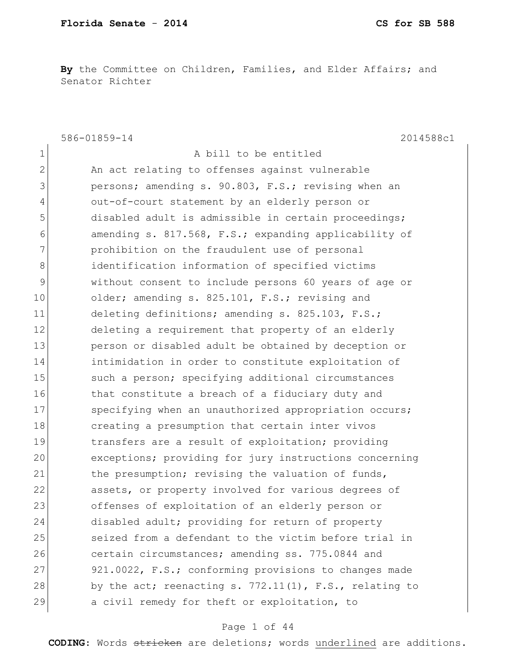**By** the Committee on Children, Families, and Elder Affairs; and Senator Richter

586-01859-14 2014588c1 1 a bill to be entitled 2 An act relating to offenses against vulnerable 3 persons; amending s. 90.803, F.S.; revising when an 4 out-of-court statement by an elderly person or 5 disabled adult is admissible in certain proceedings; 6 amending s. 817.568, F.S.; expanding applicability of 7 **prohibition on the fraudulent use of personal** 8 identification information of specified victims 9 without consent to include persons 60 years of age or 10 older; amending s. 825.101, F.S.; revising and 11 deleting definitions; amending s. 825.103, F.S.; 12 deleting a requirement that property of an elderly 13 person or disabled adult be obtained by deception or 14 intimidation in order to constitute exploitation of 15 such a person; specifying additional circumstances 16 that constitute a breach of a fiduciary duty and 17 Specifying when an unauthorized appropriation occurs; 18 creating a presumption that certain inter vivos 19 transfers are a result of exploitation; providing 20 exceptions; providing for jury instructions concerning 21 the presumption; revising the valuation of funds, 22 assets, or property involved for various degrees of 23 offenses of exploitation of an elderly person or 24 disabled adult; providing for return of property 25 seized from a defendant to the victim before trial in 26 certain circumstances; amending ss. 775.0844 and 27 921.0022, F.S.; conforming provisions to changes made 28 by the act; reenacting s.  $772.11(1)$ , F.S., relating to 29 a civil remedy for theft or exploitation, to

#### Page 1 of 44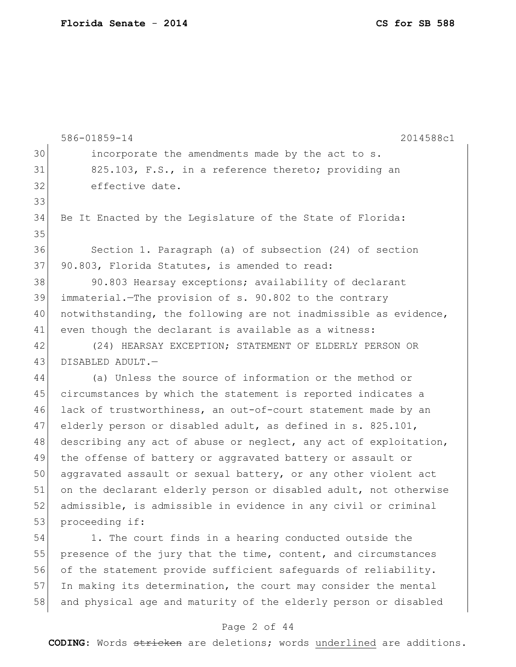586-01859-14 2014588c1 30 incorporate the amendments made by the act to s. 31 825.103, F.S., in a reference thereto; providing an 32 effective date. 33 34 Be It Enacted by the Legislature of the State of Florida: 35 36 Section 1. Paragraph (a) of subsection (24) of section 37 90.803, Florida Statutes, is amended to read: 38 90.803 Hearsay exceptions; availability of declarant 39 immaterial.—The provision of s. 90.802 to the contrary 40 notwithstanding, the following are not inadmissible as evidence, 41 even though the declarant is available as a witness: 42 (24) HEARSAY EXCEPTION; STATEMENT OF ELDERLY PERSON OR 43 DISABLED ADULT. 44 (a) Unless the source of information or the method or 45 circumstances by which the statement is reported indicates a 46 lack of trustworthiness, an out-of-court statement made by an 47 elderly person or disabled adult, as defined in s. 825.101, 48 describing any act of abuse or neglect, any act of exploitation, 49 the offense of battery or aggravated battery or assault or 50 aggravated assault or sexual battery, or any other violent act 51 on the declarant elderly person or disabled adult, not otherwise 52 admissible, is admissible in evidence in any civil or criminal 53 proceeding if:

54 1. The court finds in a hearing conducted outside the 55 presence of the jury that the time, content, and circumstances 56 of the statement provide sufficient safeguards of reliability. 57 In making its determination, the court may consider the mental 58 and physical age and maturity of the elderly person or disabled

#### Page 2 of 44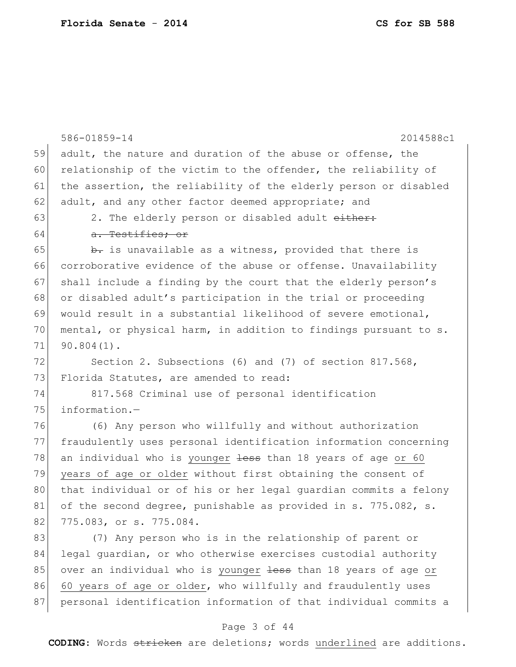|    | 2014588c1<br>586-01859-14                                                 |
|----|---------------------------------------------------------------------------|
| 59 | adult, the nature and duration of the abuse or offense, the               |
| 60 | relationship of the victim to the offender, the reliability of            |
| 61 | the assertion, the reliability of the elderly person or disabled          |
| 62 | adult, and any other factor deemed appropriate; and                       |
| 63 | 2. The elderly person or disabled adult either:                           |
| 64 | a. Testifies; or                                                          |
| 65 | b. is unavailable as a witness, provided that there is                    |
| 66 | corroborative evidence of the abuse or offense. Unavailability            |
| 67 | shall include a finding by the court that the elderly person's            |
| 68 | or disabled adult's participation in the trial or proceeding              |
| 69 | would result in a substantial likelihood of severe emotional,             |
| 70 | mental, or physical harm, in addition to findings pursuant to s.          |
| 71 | $90.804(1)$ .                                                             |
| 72 | Section 2. Subsections (6) and (7) of section $817.568$ ,                 |
| 73 | Florida Statutes, are amended to read:                                    |
| 74 | 817.568 Criminal use of personal identification                           |
| 75 | information.-                                                             |
| 76 | (6) Any person who willfully and without authorization                    |
| 77 | fraudulently uses personal identification information concerning          |
| 78 | an individual who is younger less than 18 years of age or 60              |
| 79 | years of age or older without first obtaining the consent of              |
| 80 | that individual or of his or her legal guardian commits a felony          |
| 81 | of the second degree, punishable as provided in s. 775.082, s.            |
| 82 | 775.083, or s. 775.084.                                                   |
| 83 | (7) Any person who is in the relationship of parent or                    |
| 84 | legal guardian, or who otherwise exercises custodial authority            |
| 85 | over an individual who is younger <del>less</del> than 18 years of age or |
| 86 | 60 years of age or older, who willfully and fraudulently uses             |
| 87 | personal identification information of that individual commits a          |

# Page 3 of 44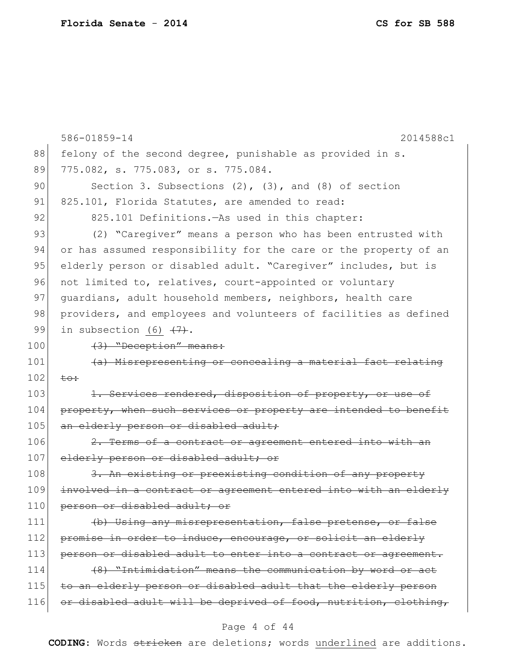|     | 586-01859-14<br>2014588c1                                        |
|-----|------------------------------------------------------------------|
| 88  | felony of the second degree, punishable as provided in s.        |
| 89  | 775.082, s. 775.083, or s. 775.084.                              |
| 90  | Section 3. Subsections $(2)$ , $(3)$ , and $(8)$ of section      |
| 91  | 825.101, Florida Statutes, are amended to read:                  |
| 92  | 825.101 Definitions. - As used in this chapter:                  |
| 93  | (2) "Caregiver" means a person who has been entrusted with       |
| 94  | or has assumed responsibility for the care or the property of an |
| 95  | elderly person or disabled adult. "Caregiver" includes, but is   |
| 96  | not limited to, relatives, court-appointed or voluntary          |
| 97  | guardians, adult household members, neighbors, health care       |
| 98  | providers, and employees and volunteers of facilities as defined |
| 99  | in subsection (6) $(7)$ .                                        |
| 100 | (3) "Deception" means:                                           |
| 101 | (a) Misrepresenting or concealing a material fact relating       |
| 102 | $\pm$ o:                                                         |
| 103 | 1. Services rendered, disposition of property, or use of         |
| 104 | property, when such services or property are intended to benefit |
| 105 | an elderly person or disabled adult;                             |
| 106 | 2. Terms of a contract or agreement entered into with an         |
| 107 | elderly person or disabled adult; or                             |
| 108 | 3. An existing or preexisting condition of any property          |
| 109 | involved in a contract or agreement entered into with an elderly |
| 110 | person or disabled adult; or                                     |
| 111 | (b) Using any misrepresentation, false pretense, or false        |
| 112 | promise in order to induce, encourage, or solicit an elderly     |
| 113 | person or disabled adult to enter into a contract or agreement.  |
| 114 | (8) "Intimidation" means the communication by word or act        |
| 115 | to an elderly person or disabled adult that the elderly person   |
| 116 | or disabled adult will be deprived of food, nutrition, clothing, |
|     |                                                                  |

#### Page 4 of 44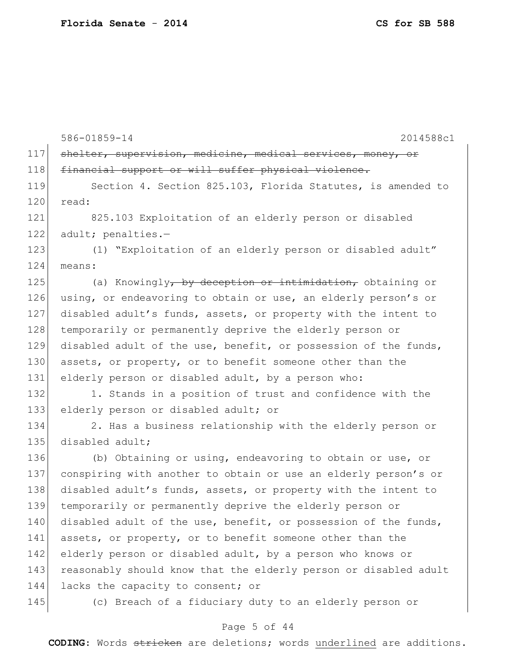586-01859-14 2014588c1 117 shelter, supervision, medicine, medical services, money, or 118 financial support or will suffer physical violence. 119 Section 4. Section 825.103, Florida Statutes, is amended to 120 read: 121 825.103 Exploitation of an elderly person or disabled 122 adult; penalties.-123 (1) "Exploitation of an elderly person or disabled adult" 124 means: 125 (a) Knowingly, by deception or intimidation, obtaining or 126 using, or endeavoring to obtain or use, an elderly person's or 127 disabled adult's funds, assets, or property with the intent to 128 temporarily or permanently deprive the elderly person or 129 disabled adult of the use, benefit, or possession of the funds, 130 assets, or property, or to benefit someone other than the 131 elderly person or disabled adult, by a person who: 132 1. Stands in a position of trust and confidence with the 133 elderly person or disabled adult; or 134 2. Has a business relationship with the elderly person or 135 disabled adult; 136 (b) Obtaining or using, endeavoring to obtain or use, or 137 conspiring with another to obtain or use an elderly person's or 138 disabled adult's funds, assets, or property with the intent to 139 temporarily or permanently deprive the elderly person or 140 disabled adult of the use, benefit, or possession of the funds, 141 assets, or property, or to benefit someone other than the 142 elderly person or disabled adult, by a person who knows or 143 reasonably should know that the elderly person or disabled adult 144 lacks the capacity to consent; or 145 (c) Breach of a fiduciary duty to an elderly person or

#### Page 5 of 44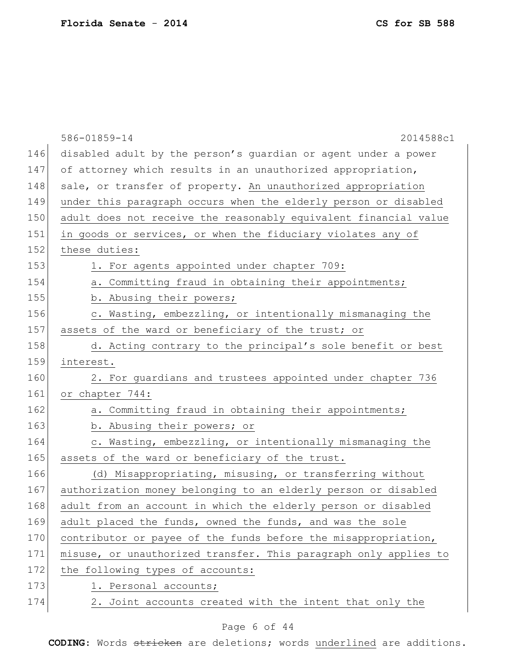|     | 586-01859-14<br>2014588c1                                        |  |  |  |  |  |
|-----|------------------------------------------------------------------|--|--|--|--|--|
| 146 | disabled adult by the person's quardian or agent under a power   |  |  |  |  |  |
| 147 | of attorney which results in an unauthorized appropriation,      |  |  |  |  |  |
| 148 | sale, or transfer of property. An unauthorized appropriation     |  |  |  |  |  |
| 149 | under this paragraph occurs when the elderly person or disabled  |  |  |  |  |  |
| 150 | adult does not receive the reasonably equivalent financial value |  |  |  |  |  |
| 151 | in goods or services, or when the fiduciary violates any of      |  |  |  |  |  |
| 152 | these duties:                                                    |  |  |  |  |  |
| 153 | 1. For agents appointed under chapter 709:                       |  |  |  |  |  |
| 154 | a. Committing fraud in obtaining their appointments;             |  |  |  |  |  |
| 155 | b. Abusing their powers;                                         |  |  |  |  |  |
| 156 | c. Wasting, embezzling, or intentionally mismanaging the         |  |  |  |  |  |
| 157 | assets of the ward or beneficiary of the trust; or               |  |  |  |  |  |
| 158 | d. Acting contrary to the principal's sole benefit or best       |  |  |  |  |  |
| 159 | interest.                                                        |  |  |  |  |  |
| 160 | 2. For guardians and trustees appointed under chapter 736        |  |  |  |  |  |
| 161 | or chapter 744:                                                  |  |  |  |  |  |
| 162 | a. Committing fraud in obtaining their appointments;             |  |  |  |  |  |
| 163 | b. Abusing their powers; or                                      |  |  |  |  |  |
| 164 | c. Wasting, embezzling, or intentionally mismanaging the         |  |  |  |  |  |
| 165 | assets of the ward or beneficiary of the trust.                  |  |  |  |  |  |
| 166 | (d) Misappropriating, misusing, or transferring without          |  |  |  |  |  |
| 167 | authorization money belonging to an elderly person or disabled   |  |  |  |  |  |
| 168 | adult from an account in which the elderly person or disabled    |  |  |  |  |  |
| 169 | adult placed the funds, owned the funds, and was the sole        |  |  |  |  |  |
| 170 | contributor or payee of the funds before the misappropriation,   |  |  |  |  |  |
| 171 | misuse, or unauthorized transfer. This paragraph only applies to |  |  |  |  |  |
| 172 | the following types of accounts:                                 |  |  |  |  |  |
| 173 | 1. Personal accounts;                                            |  |  |  |  |  |
| 174 | 2. Joint accounts created with the intent that only the          |  |  |  |  |  |

# Page 6 of 44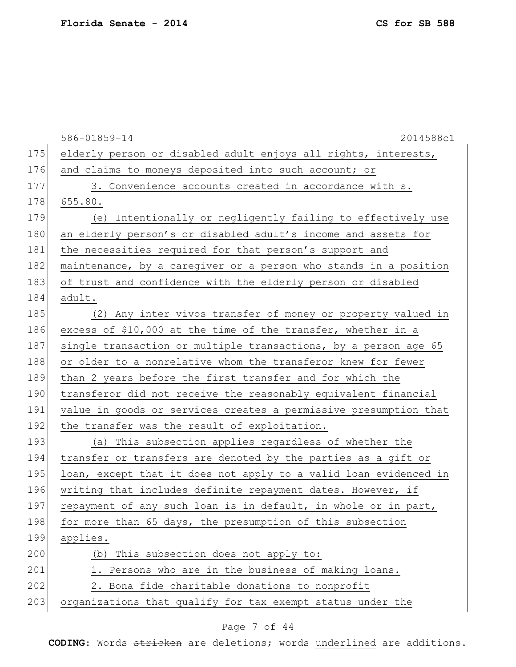|     | 586-01859-14<br>2014588c1                                        |
|-----|------------------------------------------------------------------|
| 175 | elderly person or disabled adult enjoys all rights, interests,   |
| 176 | and claims to moneys deposited into such account; or             |
| 177 | 3. Convenience accounts created in accordance with s.            |
| 178 | 655.80.                                                          |
| 179 | (e) Intentionally or negligently failing to effectively use      |
| 180 | an elderly person's or disabled adult's income and assets for    |
| 181 | the necessities required for that person's support and           |
| 182 | maintenance, by a caregiver or a person who stands in a position |
| 183 | of trust and confidence with the elderly person or disabled      |
| 184 | adult.                                                           |
| 185 | (2) Any inter vivos transfer of money or property valued in      |
| 186 | excess of \$10,000 at the time of the transfer, whether in a     |
| 187 | single transaction or multiple transactions, by a person age 65  |
| 188 | or older to a nonrelative whom the transferor knew for fewer     |
| 189 | than 2 years before the first transfer and for which the         |
| 190 | transferor did not receive the reasonably equivalent financial   |
| 191 | value in goods or services creates a permissive presumption that |
| 192 | the transfer was the result of exploitation.                     |
| 193 | (a) This subsection applies regardless of whether the            |
| 194 | transfer or transfers are denoted by the parties as a gift or    |
| 195 | loan, except that it does not apply to a valid loan evidenced in |
| 196 | writing that includes definite repayment dates. However, if      |
| 197 | repayment of any such loan is in default, in whole or in part,   |
| 198 | for more than 65 days, the presumption of this subsection        |
| 199 | applies.                                                         |
| 200 | (b) This subsection does not apply to:                           |
| 201 | 1. Persons who are in the business of making loans.              |
| 202 | 2. Bona fide charitable donations to nonprofit                   |
| 203 | organizations that qualify for tax exempt status under the       |
|     |                                                                  |

# Page 7 of 44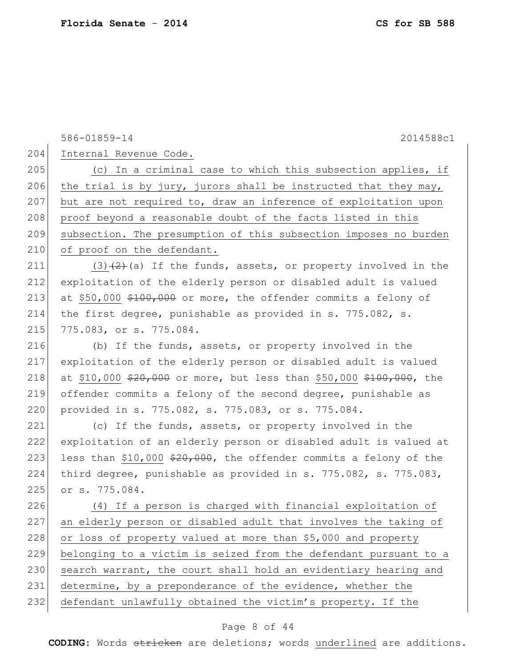586-01859-14 2014588c1 204 Internal Revenue Code. 205 (c) In a criminal case to which this subsection applies, if 206 the trial is by jury, jurors shall be instructed that they may, 207 but are not required to, draw an inference of exploitation upon 208 proof beyond a reasonable doubt of the facts listed in this 209 subsection. The presumption of this subsection imposes no burden 210 of proof on the defendant. 211 (3)  $(2)$  (a) If the funds, assets, or property involved in the 212 exploitation of the elderly person or disabled adult is valued 213 at  $$50,000$   $$100,000$  or more, the offender commits a felony of 214 the first degree, punishable as provided in s. 775.082, s. 215 775.083, or s. 775.084. 216 (b) If the funds, assets, or property involved in the 217 exploitation of the elderly person or disabled adult is valued 218 at \$10,000  $\frac{20}{700}$  or more, but less than \$50,000  $\frac{200}{700}$ , the 219 offender commits a felony of the second degree, punishable as 220 provided in s. 775.082, s. 775.083, or s. 775.084. 221  $\vert$  (c) If the funds, assets, or property involved in the 222 exploitation of an elderly person or disabled adult is valued at 223 less than \$10,000  $\frac{223}{1000}$ , the offender commits a felony of the 224 third degree, punishable as provided in s. 775.082, s. 775.083, 225 or s. 775.084. 226 (4) If a person is charged with financial exploitation of 227 an elderly person or disabled adult that involves the taking of 228 or loss of property valued at more than \$5,000 and property 229 belonging to a victim is seized from the defendant pursuant to a 230 search warrant, the court shall hold an evidentiary hearing and 231 determine, by a preponderance of the evidence, whether the 232 defendant unlawfully obtained the victim's property. If the

#### Page 8 of 44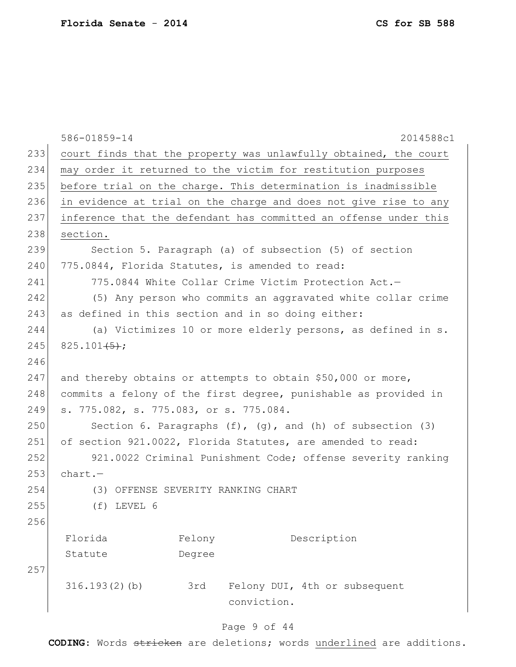|     | 586-01859-14<br>2014588c1                                           |  |  |
|-----|---------------------------------------------------------------------|--|--|
| 233 | court finds that the property was unlawfully obtained, the court    |  |  |
| 234 | may order it returned to the victim for restitution purposes        |  |  |
| 235 | before trial on the charge. This determination is inadmissible      |  |  |
| 236 | in evidence at trial on the charge and does not give rise to any    |  |  |
| 237 | inference that the defendant has committed an offense under this    |  |  |
| 238 | section.                                                            |  |  |
| 239 | Section 5. Paragraph (a) of subsection (5) of section               |  |  |
| 240 | 775.0844, Florida Statutes, is amended to read:                     |  |  |
| 241 | 775.0844 White Collar Crime Victim Protection Act.-                 |  |  |
| 242 | (5) Any person who commits an aggravated white collar crime         |  |  |
| 243 | as defined in this section and in so doing either:                  |  |  |
| 244 | (a) Victimizes 10 or more elderly persons, as defined in s.         |  |  |
| 245 | $825.101(5)$ ;                                                      |  |  |
| 246 |                                                                     |  |  |
| 247 | and thereby obtains or attempts to obtain \$50,000 or more,         |  |  |
| 248 | commits a felony of the first degree, punishable as provided in     |  |  |
| 249 | s. 775.082, s. 775.083, or s. 775.084.                              |  |  |
| 250 | Section 6. Paragraphs $(f)$ , $(g)$ , and $(h)$ of subsection $(3)$ |  |  |
| 251 | of section 921.0022, Florida Statutes, are amended to read:         |  |  |
| 252 | 921.0022 Criminal Punishment Code; offense severity ranking         |  |  |
| 253 | $chart. -$                                                          |  |  |
| 254 | (3) OFFENSE SEVERITY RANKING CHART                                  |  |  |
| 255 | (f) LEVEL 6                                                         |  |  |
| 256 |                                                                     |  |  |
|     | Florida<br>Description<br>Felony                                    |  |  |
|     | Statute<br>Degree                                                   |  |  |
| 257 |                                                                     |  |  |
|     | 316.193(2)(b)<br>3rd<br>Felony DUI, 4th or subsequent               |  |  |
|     | conviction.                                                         |  |  |

# Page 9 of 44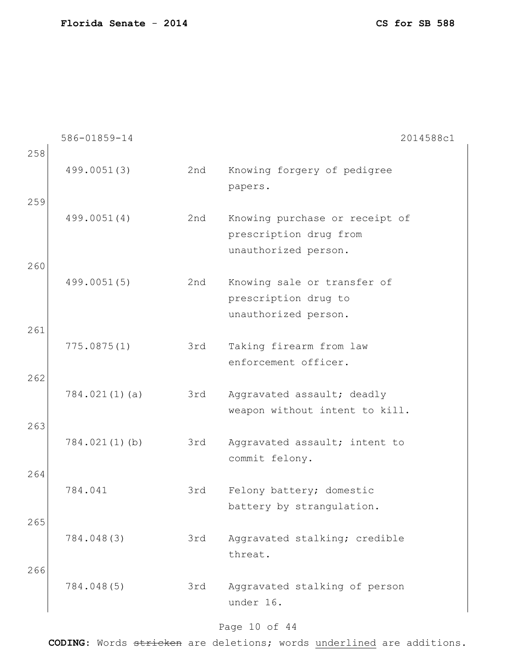|            | 586-01859-14  |     | 2014588c1                                                                        |
|------------|---------------|-----|----------------------------------------------------------------------------------|
| 258        |               |     |                                                                                  |
|            | 499.0051(3)   | 2nd | Knowing forgery of pedigree<br>papers.                                           |
| 259<br>260 | 499.0051(4)   | 2nd | Knowing purchase or receipt of<br>prescription drug from<br>unauthorized person. |
| 261        | 499.0051(5)   | 2nd | Knowing sale or transfer of<br>prescription drug to<br>unauthorized person.      |
|            | 775.0875(1)   | 3rd | Taking firearm from law<br>enforcement officer.                                  |
| 262<br>263 | 784.021(1)(a) | 3rd | Aggravated assault; deadly<br>weapon without intent to kill.                     |
|            | 784.021(1)(b) | 3rd | Aggravated assault; intent to<br>commit felony.                                  |
| 264        | 784.041       | 3rd | Felony battery; domestic<br>battery by strangulation.                            |
| 265        | 784.048(3)    | 3rd | Aggravated stalking; credible<br>threat.                                         |
| 266        | 784.048(5)    | 3rd | Aggravated stalking of person<br>under 16.                                       |
|            |               |     |                                                                                  |

#### Page 10 of 44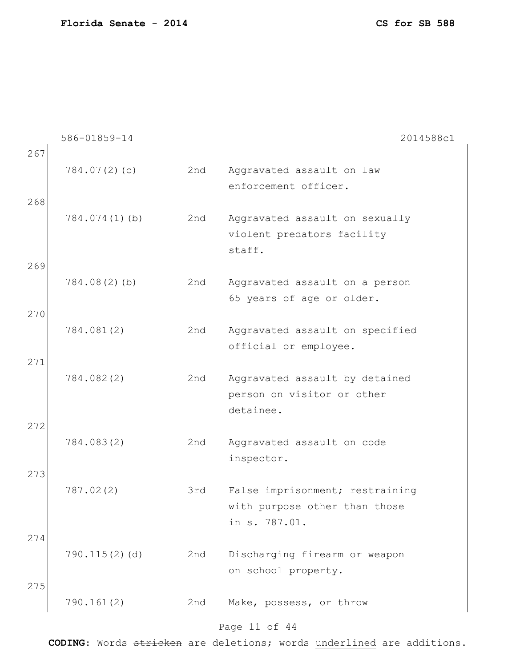|            | 586-01859-14     |     | 2014588c1                                                                         |
|------------|------------------|-----|-----------------------------------------------------------------------------------|
| 267<br>268 | 784.07(2)(c)     | 2nd | Aggravated assault on law<br>enforcement officer.                                 |
|            | 784.074(1)(b)    | 2nd | Aggravated assault on sexually<br>violent predators facility<br>staff.            |
| 269<br>270 | 784.08(2)(b)     | 2nd | Aggravated assault on a person<br>65 years of age or older.                       |
| 271        | 784.081(2)       | 2nd | Aggravated assault on specified<br>official or employee.                          |
|            | 784.082(2)       | 2nd | Aggravated assault by detained<br>person on visitor or other<br>detainee.         |
| 272        | 784.083(2)       | 2nd | Aggravated assault on code<br>inspector.                                          |
| 273        | 787.02(2)        | 3rd | False imprisonment; restraining<br>with purpose other than those<br>in s. 787.01. |
| 274<br>275 | $790.115(2)$ (d) | 2nd | Discharging firearm or weapon<br>on school property.                              |
|            | 790.161(2)       | 2nd | Make, possess, or throw<br>Page 11 of 44                                          |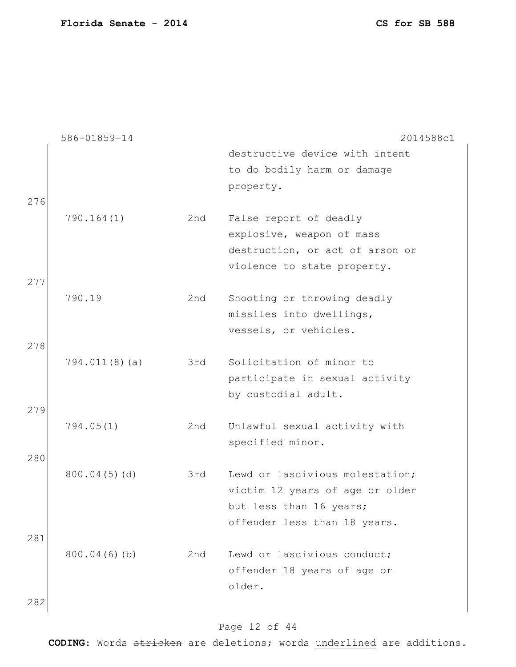|            | 586-01859-14     |     | 2014588c1                                                                                                                     |
|------------|------------------|-----|-------------------------------------------------------------------------------------------------------------------------------|
|            |                  |     | destructive device with intent<br>to do bodily harm or damage<br>property.                                                    |
| 276        |                  |     |                                                                                                                               |
|            | 790.164(1)       | 2nd | False report of deadly<br>explosive, weapon of mass<br>destruction, or act of arson or<br>violence to state property.         |
| 277<br>278 | 790.19           | 2nd | Shooting or throwing deadly<br>missiles into dwellings,<br>vessels, or vehicles.                                              |
|            | $794.011(8)$ (a) | 3rd | Solicitation of minor to<br>participate in sexual activity<br>by custodial adult.                                             |
| 279<br>280 | 794.05(1)        | 2nd | Unlawful sexual activity with<br>specified minor.                                                                             |
| 281        | 800.04(5)(d)     | 3rd | Lewd or lascivious molestation;<br>victim 12 years of age or older<br>but less than 16 years;<br>offender less than 18 years. |
| 282        | 800.04(6)(b)     | 2nd | Lewd or lascivious conduct;<br>offender 18 years of age or<br>older.                                                          |

# Page 12 of 44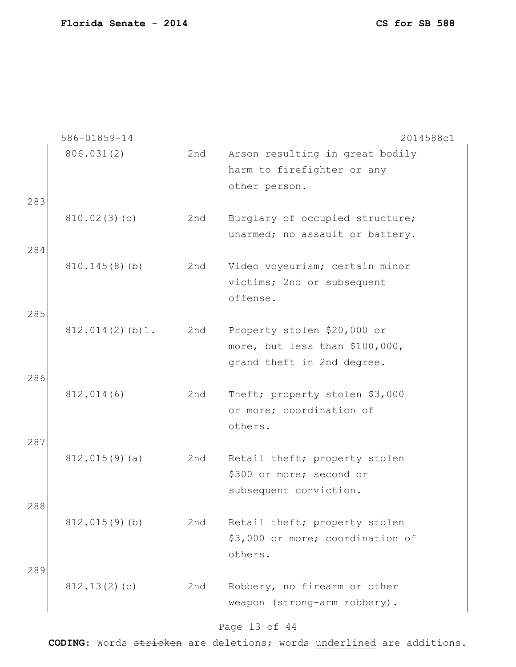|            | 586-01859-14    |     | 2014588c1                                                                                   |
|------------|-----------------|-----|---------------------------------------------------------------------------------------------|
| 283        | 806.031(2)      | 2nd | Arson resulting in great bodily<br>harm to firefighter or any<br>other person.              |
| 284        | 810.02(3)(c)    | 2nd | Burglary of occupied structure;<br>unarmed; no assault or battery.                          |
|            | 810.145(8)(b)   | 2nd | Video voyeurism; certain minor<br>victims; 2nd or subsequent<br>offense.                    |
| 285<br>286 | 812.014(2)(b)1. | 2nd | Property stolen \$20,000 or<br>more, but less than \$100,000,<br>grand theft in 2nd degree. |
|            | 812.014(6)      | 2nd | Theft; property stolen \$3,000<br>or more; coordination of<br>others.                       |
| 287        | 812.015(9)(a)   | 2nd | Retail theft; property stolen<br>\$300 or more; second or<br>subsequent conviction.         |
| 288        | 812.015(9)(b)   | 2nd | Retail theft; property stolen<br>\$3,000 or more; coordination of<br>others.                |
| 289        | 812.13(2)(c)    | 2nd | Robbery, no firearm or other<br>weapon (strong-arm robbery).                                |

#### Page 13 of 44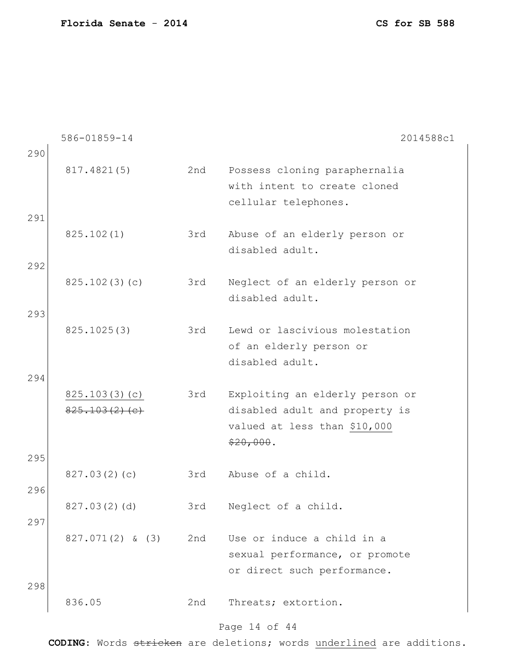|     | 586-01859-14                   |     | 2014588c1                                                                                                      |
|-----|--------------------------------|-----|----------------------------------------------------------------------------------------------------------------|
| 290 |                                |     |                                                                                                                |
|     | 817.4821(5)                    | 2nd | Possess cloning paraphernalia<br>with intent to create cloned                                                  |
|     |                                |     | cellular telephones.                                                                                           |
| 291 | 825.102(1)                     | 3rd | Abuse of an elderly person or<br>disabled adult.                                                               |
| 292 |                                |     |                                                                                                                |
|     | 825.102(3)(c)                  | 3rd | Neglect of an elderly person or<br>disabled adult.                                                             |
| 293 |                                |     |                                                                                                                |
|     | 825.1025(3)                    | 3rd | Lewd or lascivious molestation<br>of an elderly person or<br>disabled adult.                                   |
| 294 |                                |     |                                                                                                                |
|     | 825.103(3)(c)<br>825.103(2)(e) | 3rd | Exploiting an elderly person or<br>disabled adult and property is<br>valued at less than \$10,000<br>\$20,000. |
| 295 |                                |     |                                                                                                                |
|     | 827.03(2)(c)                   | 3rd | Abuse of a child.                                                                                              |
| 296 |                                |     |                                                                                                                |
|     | 827.03(2)(d)                   | 3rd | Neglect of a child.                                                                                            |
| 297 |                                |     |                                                                                                                |
| 298 | $827.071(2)$ & (3)             | 2nd | Use or induce a child in a<br>sexual performance, or promote<br>or direct such performance.                    |
|     | 836.05                         | 2nd | Threats; extortion.                                                                                            |

# Page 14 of 44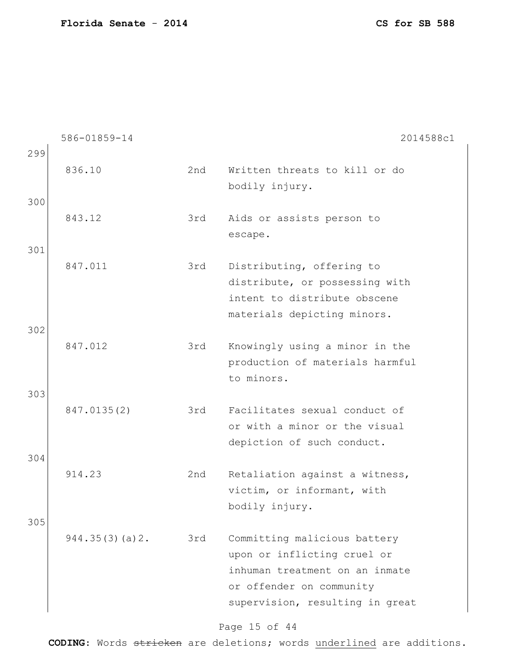586-01859-14 2014588c1 299 836.10 2nd Written threats to kill or do bodily injury. 300 843.12 3rd Aids or assists person to escape. 301 847.011 3rd Distributing, offering to distribute, or possessing with intent to distribute obscene materials depicting minors. 302 847.012 3rd Knowingly using a minor in the production of materials harmful to minors. 303 847.0135(2) 3rd Facilitates sexual conduct of or with a minor or the visual depiction of such conduct. 304 914.23 2nd Retaliation against a witness, victim, or informant, with bodily injury. 305 944.35(3)(a)2. 3rd Committing malicious battery upon or inflicting cruel or inhuman treatment on an inmate or offender on community

#### Page 15 of 44

supervision, resulting in great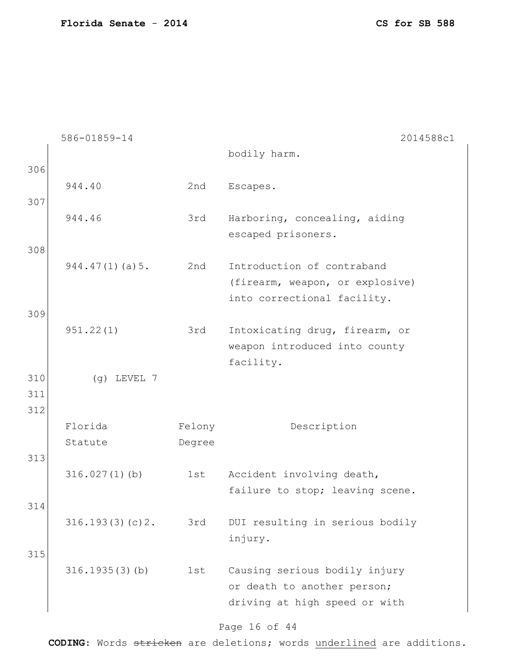|            | 586-01859-14     |        | 2014588c1                                                                                     |
|------------|------------------|--------|-----------------------------------------------------------------------------------------------|
|            |                  |        | bodily harm.                                                                                  |
| 306        |                  |        |                                                                                               |
|            | 944.40           | 2nd    | Escapes.                                                                                      |
| 307        | 944.46           | 3rd    | Harboring, concealing, aiding<br>escaped prisoners.                                           |
| 308        | 944.47(1)(a)5.   | 2nd    | Introduction of contraband<br>(firearm, weapon, or explosive)<br>into correctional facility.  |
| 309        |                  |        |                                                                                               |
|            | 951.22(1)        | 3rd    | Intoxicating drug, firearm, or<br>weapon introduced into county<br>facility.                  |
| 310        | $(q)$ LEVEL 7    |        |                                                                                               |
| 311        |                  |        |                                                                                               |
| 312        |                  |        |                                                                                               |
|            | Florida          | Felony | Description                                                                                   |
|            | Statute          | Degree |                                                                                               |
| 313<br>314 | $316.027(1)$ (b) | 1st    | Accident involving death,<br>failure to stop; leaving scene.                                  |
|            | 316.193(3)(c)2.  | 3rd    | DUI resulting in serious bodily<br>injury.                                                    |
| 315        | 316.1935(3)(b)   | 1st    | Causing serious bodily injury<br>or death to another person;<br>driving at high speed or with |

#### Page 16 of 44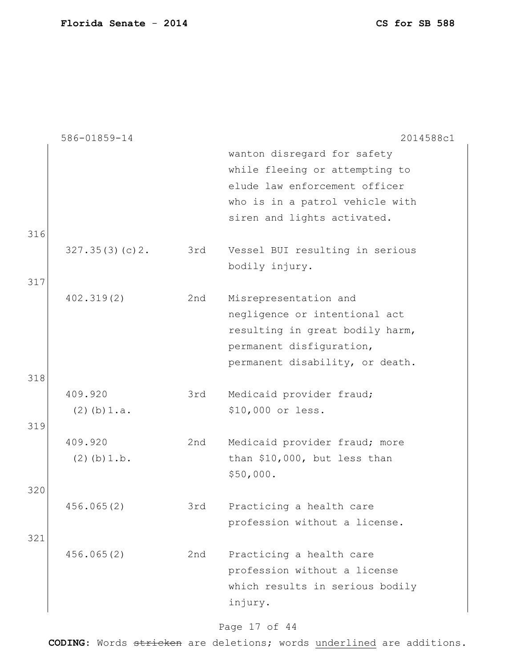|     | 586-01859-14     |     | 2014588c1                       |
|-----|------------------|-----|---------------------------------|
|     |                  |     | wanton disregard for safety     |
|     |                  |     | while fleeing or attempting to  |
|     |                  |     | elude law enforcement officer   |
|     |                  |     | who is in a patrol vehicle with |
|     |                  |     | siren and lights activated.     |
| 316 |                  |     |                                 |
|     | 327.35(3)(c)2.   | 3rd | Vessel BUI resulting in serious |
|     |                  |     | bodily injury.                  |
| 317 |                  |     |                                 |
|     | 402.319(2)       | 2nd | Misrepresentation and           |
|     |                  |     | negligence or intentional act   |
|     |                  |     | resulting in great bodily harm, |
|     |                  |     | permanent disfiguration,        |
|     |                  |     | permanent disability, or death. |
| 318 |                  |     |                                 |
|     | 409.920          | 3rd | Medicaid provider fraud;        |
|     | $(2)$ (b) $1.a.$ |     | \$10,000 or less.               |
| 319 |                  |     |                                 |
|     | 409.920          | 2nd | Medicaid provider fraud; more   |
|     | $(2)$ (b) $1.b.$ |     | than \$10,000, but less than    |
|     |                  |     | \$50,000.                       |
| 320 |                  |     |                                 |
|     | 456.065(2)       | 3rd | Practicing a health care        |
|     |                  |     | profession without a license.   |
| 321 |                  |     |                                 |
|     | 456.065(2)       | 2nd | Practicing a health care        |
|     |                  |     | profession without a license    |
|     |                  |     | which results in serious bodily |
|     |                  |     | injury.                         |

# Page 17 of 44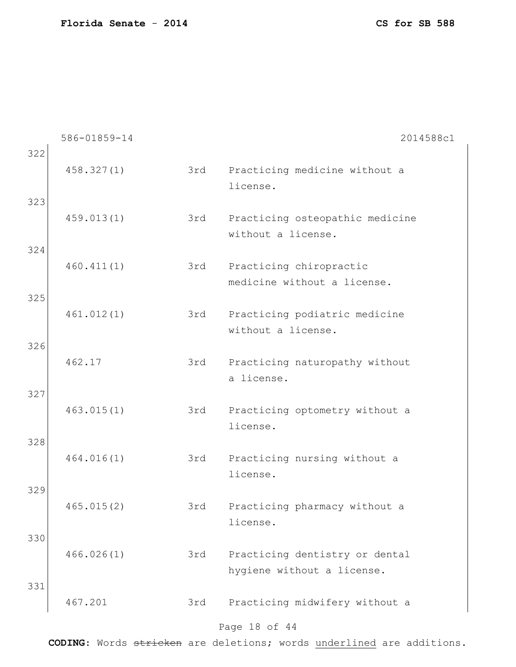|     | 586-01859-14 |     | 2014588c1                                                    |
|-----|--------------|-----|--------------------------------------------------------------|
| 322 |              |     |                                                              |
|     | 458.327(1)   | 3rd | Practicing medicine without a<br>license.                    |
| 323 | 459.013(1)   | 3rd | Practicing osteopathic medicine<br>without a license.        |
| 324 | 460.411(1)   | 3rd | Practicing chiropractic<br>medicine without a license.       |
| 325 | 461.012(1)   | 3rd | Practicing podiatric medicine<br>without a license.          |
| 326 | 462.17       | 3rd | Practicing naturopathy without<br>a license.                 |
| 327 | 463.015(1)   | 3rd | Practicing optometry without a<br>license.                   |
| 328 | 464.016(1)   | 3rd | Practicing nursing without a<br>license.                     |
| 329 | 465.015(2)   | 3rd | Practicing pharmacy without a<br>license.                    |
| 330 | 466.026(1)   | 3rd | Practicing dentistry or dental<br>hygiene without a license. |
| 331 | 467.201      | 3rd | Practicing midwifery without a                               |
|     |              |     | Page 18 of 44                                                |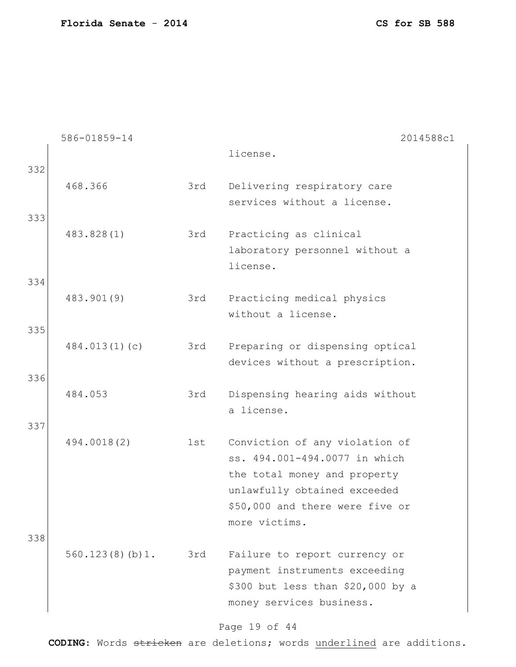|            | 586-01859-14       |     | 2014588c1                                                                                                                                                                           |
|------------|--------------------|-----|-------------------------------------------------------------------------------------------------------------------------------------------------------------------------------------|
|            |                    |     | license.                                                                                                                                                                            |
| 332        | 468.366            | 3rd | Delivering respiratory care<br>services without a license.                                                                                                                          |
| 333        | 483.828(1)         | 3rd | Practicing as clinical<br>laboratory personnel without a<br>license.                                                                                                                |
| 334<br>335 | 483.901(9)         | 3rd | Practicing medical physics<br>without a license.                                                                                                                                    |
| 336        | 484.013(1)(c)      | 3rd | Preparing or dispensing optical<br>devices without a prescription.                                                                                                                  |
|            | 484.053            | 3rd | Dispensing hearing aids without<br>a license.                                                                                                                                       |
| 337        | 494.0018(2)        | 1st | Conviction of any violation of<br>ss. 494.001-494.0077 in which<br>the total money and property<br>unlawfully obtained exceeded<br>\$50,000 and there were five or<br>more victims. |
| 338        | $560.123(8)(b)1$ . | 3rd | Failure to report currency or<br>payment instruments exceeding<br>\$300 but less than \$20,000 by a<br>money services business.                                                     |

# Page 19 of 44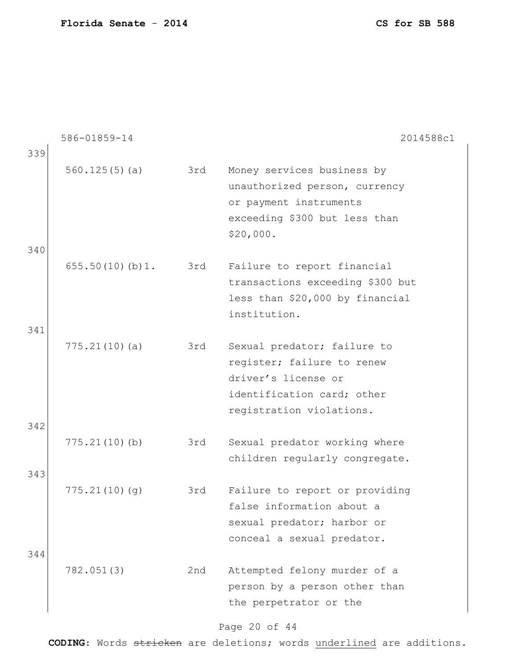|     | 586-01859-14    |     |                                                         | 2014588c1 |
|-----|-----------------|-----|---------------------------------------------------------|-----------|
| 339 |                 |     |                                                         |           |
|     | 560.125(5)(a)   | 3rd | Money services business by                              |           |
|     |                 |     | unauthorized person, currency<br>or payment instruments |           |
|     |                 |     | exceeding \$300 but less than                           |           |
|     |                 |     | \$20,000.                                               |           |
| 340 |                 |     |                                                         |           |
|     | 655.50(10)(b)1. | 3rd | Failure to report financial                             |           |
|     |                 |     | transactions exceeding \$300 but                        |           |
|     |                 |     | less than \$20,000 by financial                         |           |
|     |                 |     | institution.                                            |           |
| 341 | 775.21(10)(a)   | 3rd | Sexual predator; failure to                             |           |
|     |                 |     | register; failure to renew                              |           |
|     |                 |     | driver's license or                                     |           |
|     |                 |     | identification card; other                              |           |
|     |                 |     | registration violations.                                |           |
| 342 |                 |     |                                                         |           |
|     | 775.21(10)(b)   | 3rd | Sexual predator working where                           |           |
| 343 |                 |     | children regularly congregate.                          |           |
|     | 775.21(10)(g)   | 3rd | Failure to report or providing                          |           |
|     |                 |     | false information about a                               |           |
|     |                 |     | sexual predator; harbor or                              |           |
|     |                 |     | conceal a sexual predator.                              |           |
| 344 |                 |     |                                                         |           |
|     | 782.051(3)      | 2nd | Attempted felony murder of a                            |           |
|     |                 |     | person by a person other than                           |           |
|     |                 |     | the perpetrator or the                                  |           |

# Page 20 of 44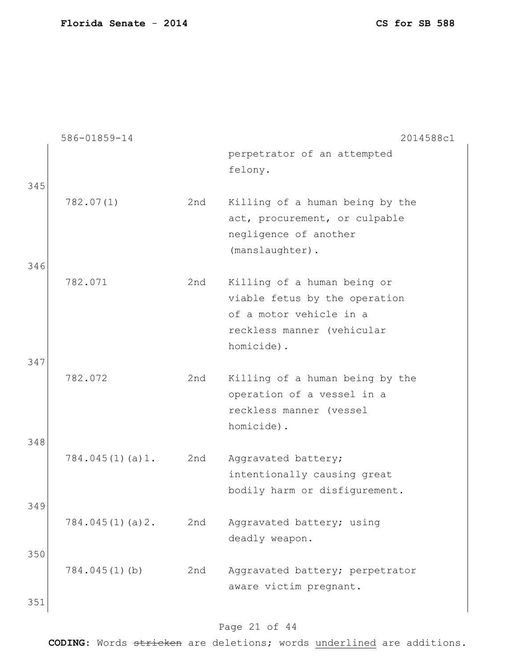|     | 586-01859-14    |     | 2014588c1                       |
|-----|-----------------|-----|---------------------------------|
|     |                 |     | perpetrator of an attempted     |
|     |                 |     | felony.                         |
| 345 |                 |     |                                 |
|     | 782.07(1)       | 2nd | Killing of a human being by the |
|     |                 |     | act, procurement, or culpable   |
|     |                 |     | negligence of another           |
|     |                 |     | (manslaughter).                 |
| 346 |                 |     |                                 |
|     | 782.071         | 2nd | Killing of a human being or     |
|     |                 |     | viable fetus by the operation   |
|     |                 |     | of a motor vehicle in a         |
|     |                 |     | reckless manner (vehicular      |
|     |                 |     | homicide).                      |
| 347 |                 |     |                                 |
|     | 782.072         | 2nd | Killing of a human being by the |
|     |                 |     | operation of a vessel in a      |
|     |                 |     | reckless manner (vessel         |
|     |                 |     | homicide).                      |
| 348 |                 |     |                                 |
|     | 784.045(1)(a)1. | 2nd | Aggravated battery;             |
|     |                 |     | intentionally causing great     |
|     |                 |     | bodily harm or disfigurement.   |
| 349 |                 |     |                                 |
|     | 784.045(1)(a)2. | 2nd | Aggravated battery; using       |
|     |                 |     | deadly weapon.                  |
| 350 |                 |     |                                 |
|     | 784.045(1)(b)   | 2nd | Aggravated battery; perpetrator |
|     |                 |     | aware victim pregnant.          |
| 351 |                 |     |                                 |
|     |                 |     |                                 |

# Page 21 of 44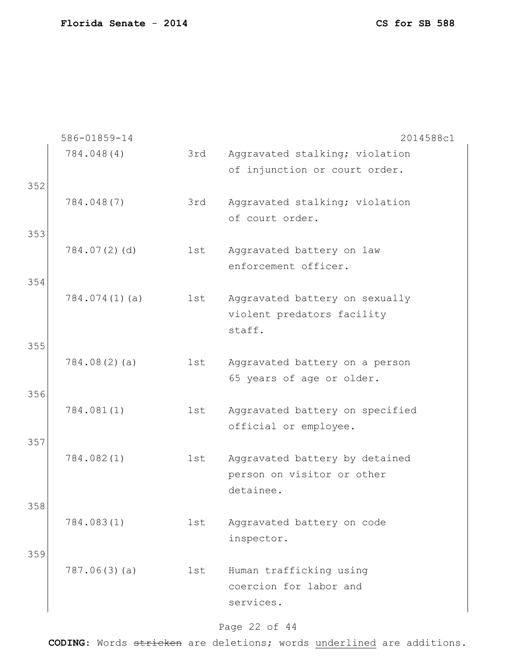|     | 586-01859-14  |     | 2014588c1                                                                 |
|-----|---------------|-----|---------------------------------------------------------------------------|
|     | 784.048(4)    | 3rd | Aggravated stalking; violation                                            |
| 352 |               |     | of injunction or court order.                                             |
|     | 784.048(7)    | 3rd | Aggravated stalking; violation<br>of court order.                         |
| 353 |               |     |                                                                           |
|     | 784.07(2)(d)  | 1st | Aggravated battery on law<br>enforcement officer.                         |
| 354 |               |     |                                                                           |
|     | 784.074(1)(a) | 1st | Aggravated battery on sexually<br>violent predators facility<br>staff.    |
| 355 |               |     |                                                                           |
|     | 784.08(2)(a)  | 1st | Aggravated battery on a person<br>65 years of age or older.               |
| 356 |               |     |                                                                           |
|     | 784.081(1)    | 1st | Aggravated battery on specified<br>official or employee.                  |
| 357 |               |     |                                                                           |
|     | 784.082(1)    | 1st | Aggravated battery by detained<br>person on visitor or other<br>detainee. |
| 358 |               |     |                                                                           |
|     | 784.083(1)    | 1st | Aggravated battery on code<br>inspector.                                  |
| 359 |               |     |                                                                           |
|     | 787.06(3)(a)  | 1st | Human trafficking using<br>coercion for labor and<br>services.            |

# Page 22 of 44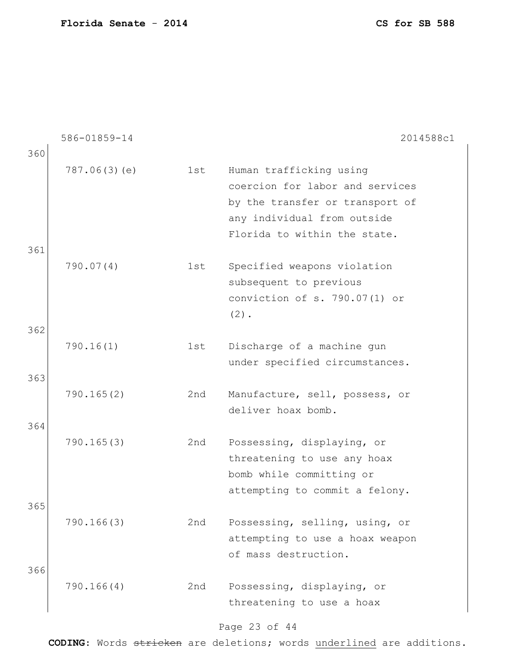|     | 586-01859-14 |     | 2014588c1                       |
|-----|--------------|-----|---------------------------------|
| 360 |              |     |                                 |
|     | 787.06(3)(e) | 1st | Human trafficking using         |
|     |              |     | coercion for labor and services |
|     |              |     | by the transfer or transport of |
|     |              |     | any individual from outside     |
|     |              |     | Florida to within the state.    |
| 361 |              |     |                                 |
|     | 790.07(4)    | 1st | Specified weapons violation     |
|     |              |     | subsequent to previous          |
|     |              |     | conviction of s. 790.07(1) or   |
|     |              |     | $(2)$ .                         |
| 362 |              |     |                                 |
|     | 790.16(1)    | 1st | Discharge of a machine gun      |
|     |              |     | under specified circumstances.  |
| 363 |              |     |                                 |
|     | 790.165(2)   | 2nd | Manufacture, sell, possess, or  |
|     |              |     | deliver hoax bomb.              |
| 364 |              |     |                                 |
|     | 790.165(3)   | 2nd | Possessing, displaying, or      |
|     |              |     | threatening to use any hoax     |
|     |              |     | bomb while committing or        |
|     |              |     | attempting to commit a felony.  |
| 365 |              |     |                                 |
|     | 790.166(3)   | 2nd | Possessing, selling, using, or  |
|     |              |     | attempting to use a hoax weapon |
|     |              |     | of mass destruction.            |
| 366 |              |     |                                 |
|     | 790.166(4)   | 2nd | Possessing, displaying, or      |
|     |              |     | threatening to use a hoax       |
|     |              |     |                                 |

#### Page 23 of 44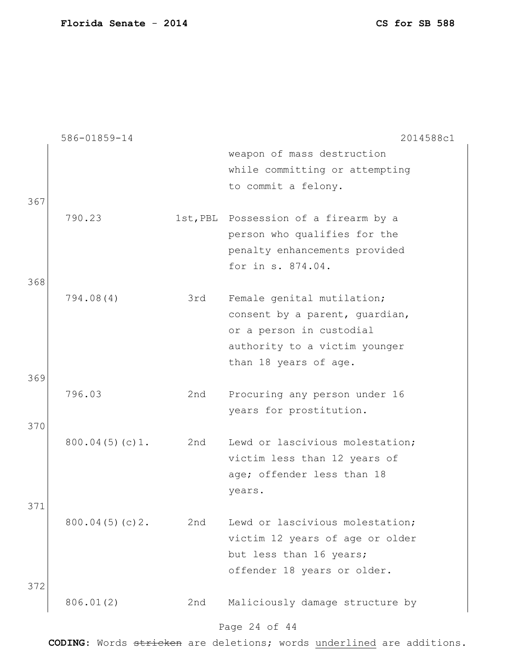|     | 586-01859-14   |     | 2014588c1                             |
|-----|----------------|-----|---------------------------------------|
|     |                |     | weapon of mass destruction            |
|     |                |     | while committing or attempting        |
|     |                |     | to commit a felony.                   |
| 367 |                |     |                                       |
|     | 790.23         |     | 1st, PBL Possession of a firearm by a |
|     |                |     | person who qualifies for the          |
|     |                |     | penalty enhancements provided         |
|     |                |     | for in s. 874.04.                     |
| 368 |                |     |                                       |
|     | 794.08(4)      | 3rd | Female genital mutilation;            |
|     |                |     | consent by a parent, guardian,        |
|     |                |     | or a person in custodial              |
|     |                |     | authority to a victim younger         |
|     |                |     | than 18 years of age.                 |
| 369 |                |     |                                       |
|     | 796.03         | 2nd | Procuring any person under 16         |
|     |                |     | years for prostitution.               |
| 370 |                |     |                                       |
|     | 800.04(5)(c)1. | 2nd | Lewd or lascivious molestation;       |
|     |                |     | victim less than 12 years of          |
|     |                |     | age; offender less than 18            |
|     |                |     | years.                                |
| 371 |                |     |                                       |
|     | 800.04(5)(c)2. | 2nd | Lewd or lascivious molestation;       |
|     |                |     | victim 12 years of age or older       |
|     |                |     | but less than 16 years;               |
|     |                |     | offender 18 years or older.           |
| 372 |                |     |                                       |
|     | 806.01(2)      | 2nd | Maliciously damage structure by       |
|     |                |     | Page 24 of 44                         |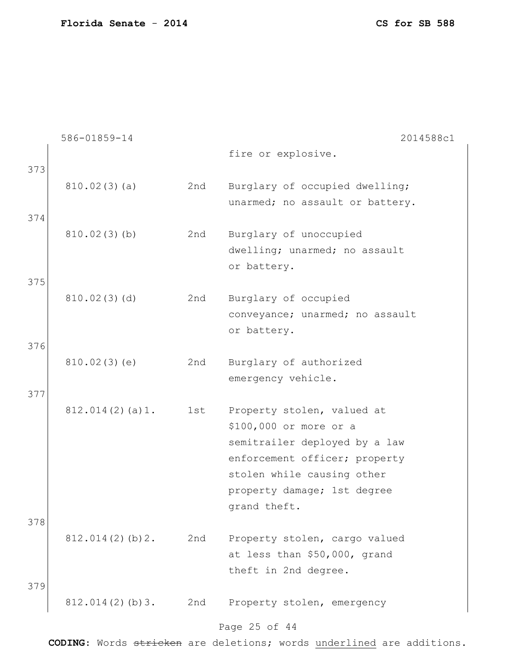|     | 586-01859-14    |     | 2014588c1                                                                                                                                                                                           |
|-----|-----------------|-----|-----------------------------------------------------------------------------------------------------------------------------------------------------------------------------------------------------|
|     |                 |     | fire or explosive.                                                                                                                                                                                  |
| 373 | 810.02(3)(a)    | 2nd | Burglary of occupied dwelling;<br>unarmed; no assault or battery.                                                                                                                                   |
| 374 | 810.02(3)(b)    | 2nd | Burglary of unoccupied                                                                                                                                                                              |
|     |                 |     | dwelling; unarmed; no assault<br>or battery.                                                                                                                                                        |
| 375 |                 |     |                                                                                                                                                                                                     |
|     | 810.02(3)(d)    | 2nd | Burglary of occupied<br>conveyance; unarmed; no assault<br>or battery.                                                                                                                              |
| 376 |                 |     |                                                                                                                                                                                                     |
|     | 810.02(3)(e)    | 2nd | Burglary of authorized<br>emergency vehicle.                                                                                                                                                        |
| 377 |                 |     |                                                                                                                                                                                                     |
|     | 812.014(2)(a)1. | 1st | Property stolen, valued at<br>\$100,000 or more or a<br>semitrailer deployed by a law<br>enforcement officer; property<br>stolen while causing other<br>property damage; 1st degree<br>grand theft. |
| 378 |                 |     |                                                                                                                                                                                                     |
| 379 | 812.014(2)(b)2. | 2nd | Property stolen, cargo valued<br>at less than \$50,000, grand<br>theft in 2nd degree.                                                                                                               |
|     | 812.014(2)(b)3. | 2nd | Property stolen, emergency                                                                                                                                                                          |
|     |                 |     | Page 25 of 44                                                                                                                                                                                       |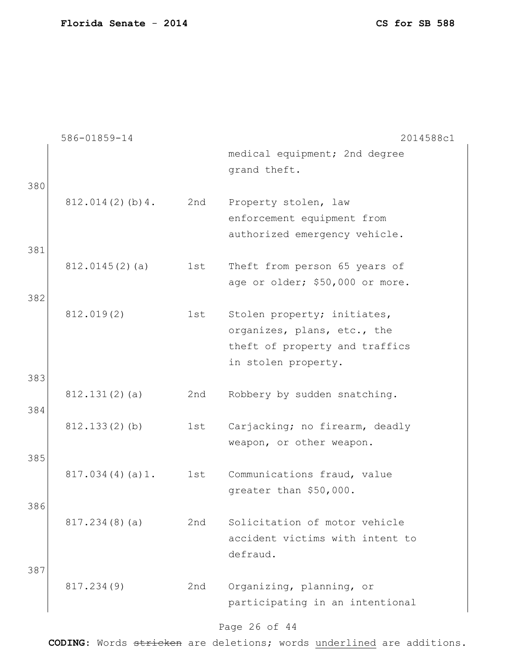|     | 586-01859-14    |     | 2014588c1                                                  |
|-----|-----------------|-----|------------------------------------------------------------|
|     |                 |     | medical equipment; 2nd degree<br>grand theft.              |
| 380 |                 |     |                                                            |
|     | 812.014(2)(b)4. | 2nd | Property stolen, law                                       |
|     |                 |     | enforcement equipment from                                 |
| 381 |                 |     | authorized emergency vehicle.                              |
|     | 812.0145(2)(a)  | 1st | Theft from person 65 years of                              |
|     |                 |     | age or older; \$50,000 or more.                            |
| 382 |                 |     |                                                            |
|     | 812.019(2)      | 1st | Stolen property; initiates,<br>organizes, plans, etc., the |
|     |                 |     | theft of property and traffics                             |
|     |                 |     | in stolen property.                                        |
| 383 |                 |     |                                                            |
| 384 | 812.131(2)(a)   | 2nd | Robbery by sudden snatching.                               |
|     | 812.133(2)(b)   | 1st | Carjacking; no firearm, deadly                             |
|     |                 |     | weapon, or other weapon.                                   |
| 385 | 817.034(4)(a)1. | 1st | Communications fraud, value                                |
|     |                 |     | greater than \$50,000.                                     |
| 386 |                 |     |                                                            |
|     | 817.234(8)(a)   | 2nd | Solicitation of motor vehicle                              |
|     |                 |     | accident victims with intent to<br>defraud.                |
| 387 |                 |     |                                                            |
|     | 817.234(9)      | 2nd | Organizing, planning, or                                   |
|     |                 |     | participating in an intentional                            |
|     |                 |     | Page 26 of 44                                              |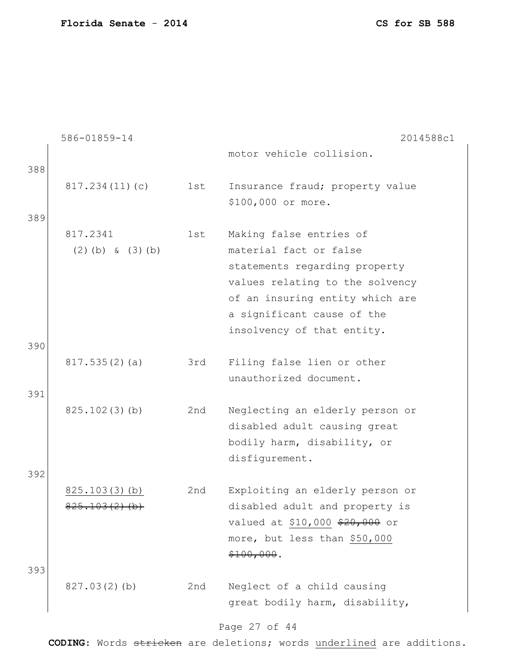|            | 586-01859-14                      |     | 2014588c1                                                                                                                                                                                                            |
|------------|-----------------------------------|-----|----------------------------------------------------------------------------------------------------------------------------------------------------------------------------------------------------------------------|
| 388        |                                   |     | motor vehicle collision.                                                                                                                                                                                             |
| 389        | 817.234(11)(c)                    | 1st | Insurance fraud; property value<br>\$100,000 or more.                                                                                                                                                                |
|            | 817.2341<br>$(2)$ (b) & $(3)$ (b) | 1st | Making false entries of<br>material fact or false<br>statements regarding property<br>values relating to the solvency<br>of an insuring entity which are<br>a significant cause of the<br>insolvency of that entity. |
| 390        | 817.535(2)(a)                     | 3rd | Filing false lien or other<br>unauthorized document.                                                                                                                                                                 |
| 391<br>392 | 825.102(3)(b)                     | 2nd | Neglecting an elderly person or<br>disabled adult causing great<br>bodily harm, disability, or<br>disfigurement.                                                                                                     |
|            | 825.103(3)(b)<br>825.103(2)       | 2nd | Exploiting an elderly person or<br>disabled adult and property is<br>valued at \$10,000 \$20,000 or<br>more, but less than \$50,000<br>\$100,000.                                                                    |
| 393        | 827.03(2)(b)                      | 2nd | Neglect of a child causing<br>great bodily harm, disability,<br>Page 27 of 44                                                                                                                                        |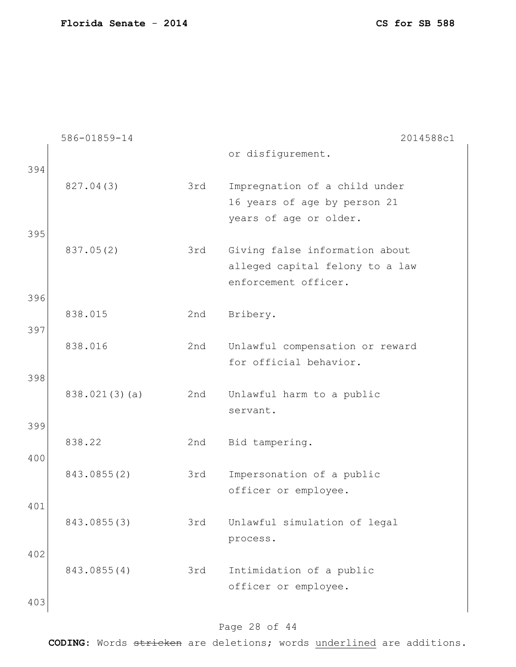|     | 586-01859-14  |     | 2014588c1                                                                                 |
|-----|---------------|-----|-------------------------------------------------------------------------------------------|
|     |               |     | or disfigurement.                                                                         |
| 394 | 827.04(3)     | 3rd | Impregnation of a child under<br>16 years of age by person 21<br>years of age or older.   |
| 395 | 837.05(2)     | 3rd | Giving false information about<br>alleged capital felony to a law<br>enforcement officer. |
| 396 |               |     |                                                                                           |
| 397 | 838.015       | 2nd | Bribery.                                                                                  |
|     | 838.016       | 2nd | Unlawful compensation or reward<br>for official behavior.                                 |
| 398 | 838.021(3)(a) | 2nd | Unlawful harm to a public<br>servant.                                                     |
| 399 |               |     |                                                                                           |
|     | 838.22        | 2nd | Bid tampering.                                                                            |
| 400 | 843.0855(2)   | 3rd | Impersonation of a public<br>officer or employee.                                         |
| 401 | 843.0855(3)   | 3rd | Unlawful simulation of legal<br>process.                                                  |
| 402 | 843.0855(4)   | 3rd | Intimidation of a public<br>officer or employee.                                          |
| 403 |               |     |                                                                                           |

# Page 28 of 44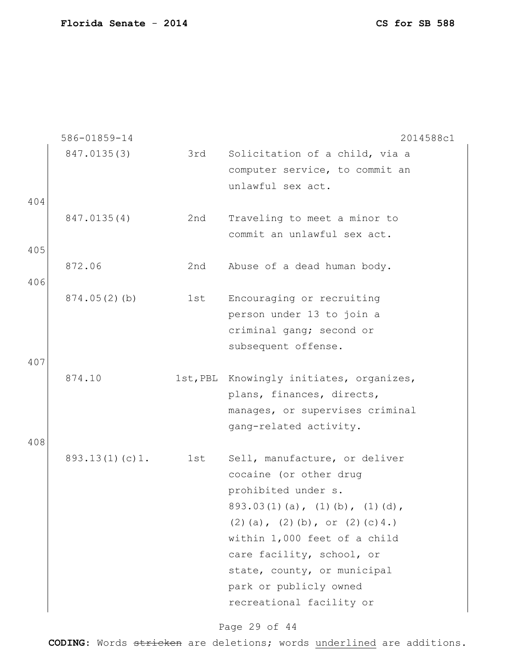|     | 586-01859-14   |     | 2014588c1                                                                                                                                                                                                                                                                                                            |
|-----|----------------|-----|----------------------------------------------------------------------------------------------------------------------------------------------------------------------------------------------------------------------------------------------------------------------------------------------------------------------|
|     | 847.0135(3)    | 3rd | Solicitation of a child, via a<br>computer service, to commit an<br>unlawful sex act.                                                                                                                                                                                                                                |
| 404 |                |     |                                                                                                                                                                                                                                                                                                                      |
|     | 847.0135(4)    | 2nd | Traveling to meet a minor to<br>commit an unlawful sex act.                                                                                                                                                                                                                                                          |
| 405 |                |     |                                                                                                                                                                                                                                                                                                                      |
| 406 | 872.06         | 2nd | Abuse of a dead human body.                                                                                                                                                                                                                                                                                          |
| 407 | 874.05(2)(b)   | 1st | Encouraging or recruiting<br>person under 13 to join a<br>criminal gang; second or<br>subsequent offense.                                                                                                                                                                                                            |
| 408 | 874.10         |     | 1st, PBL Knowingly initiates, organizes,<br>plans, finances, directs,<br>manages, or supervises criminal<br>gang-related activity.                                                                                                                                                                                   |
|     | 893.13(1)(c)1. | 1st | Sell, manufacture, or deliver<br>cocaine (or other drug<br>prohibited under s.<br>$893.03(1)(a)$ , $(1)(b)$ , $(1)(d)$ ,<br>$(2)$ (a), $(2)$ (b), or $(2)$ (c) 4.)<br>within 1,000 feet of a child<br>care facility, school, or<br>state, county, or municipal<br>park or publicly owned<br>recreational facility or |

# Page 29 of 44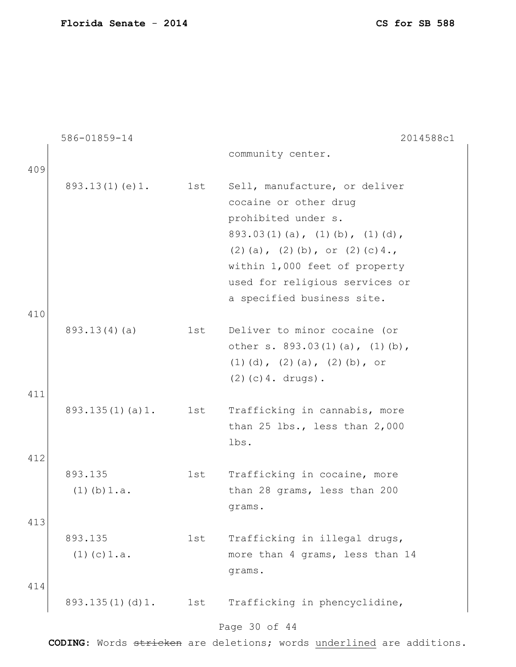|     | 586-01859-14     |     | 2014588c1                                    |
|-----|------------------|-----|----------------------------------------------|
|     |                  |     | community center.                            |
| 409 |                  |     |                                              |
|     | 893.13(1)(e)1.   | 1st | Sell, manufacture, or deliver                |
|     |                  |     | cocaine or other drug                        |
|     |                  |     | prohibited under s.                          |
|     |                  |     | $893.03(1)(a)$ , $(1)(b)$ , $(1)(d)$ ,       |
|     |                  |     | $(2)$ (a), $(2)$ (b), or $(2)$ (c) 4.,       |
|     |                  |     | within 1,000 feet of property                |
|     |                  |     | used for religious services or               |
|     |                  |     | a specified business site.                   |
| 410 |                  |     |                                              |
|     | 893.13(4)(a)     | 1st | Deliver to minor cocaine (or                 |
|     |                  |     | other s. $893.03(1)(a)$ , $(1)(b)$ ,         |
|     |                  |     | $(1)$ $(d)$ , $(2)$ $(a)$ , $(2)$ $(b)$ , or |
|     |                  |     | $(2)$ (c) 4. drugs).                         |
| 411 |                  |     |                                              |
|     | 893.135(1)(a)1.  | 1st | Trafficking in cannabis, more                |
|     |                  |     | than 25 lbs., less than 2,000                |
|     |                  |     | lbs.                                         |
| 412 |                  |     |                                              |
|     | 893.135          | 1st | Trafficking in cocaine, more                 |
|     | $(1)$ (b) $1.a.$ |     | than 28 grams, less than 200                 |
|     |                  |     | grams.                                       |
| 413 |                  |     |                                              |
|     | 893.135          | 1st | Trafficking in illegal drugs,                |
|     | $(1)$ (c) $1.a.$ |     | more than 4 grams, less than 14              |
|     |                  |     | grams.                                       |
| 414 |                  |     |                                              |
|     | 893.135(1)(d)1.  | 1st | Trafficking in phencyclidine,                |
|     |                  |     | Page 30 of 44                                |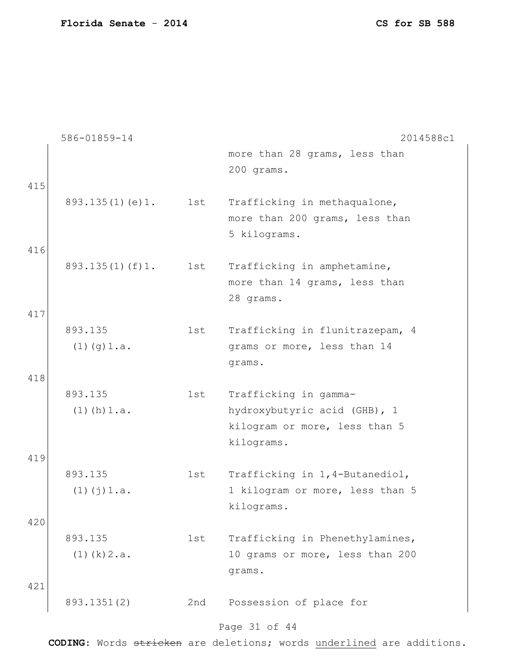|     | 586-01859-14       |     | 2014588c1                                                                 |
|-----|--------------------|-----|---------------------------------------------------------------------------|
|     |                    |     | more than 28 grams, less than<br>200 grams.                               |
| 415 |                    |     |                                                                           |
|     | 893.135(1)(e)1.    | 1st | Trafficking in methaqualone,                                              |
|     |                    |     | more than 200 grams, less than<br>5 kilograms.                            |
| 416 |                    |     |                                                                           |
|     | 893.135(1)(f)1.    | 1st | Trafficking in amphetamine,<br>more than 14 grams, less than<br>28 grams. |
| 417 |                    |     |                                                                           |
|     | 893.135            | 1st | Trafficking in flunitrazepam, 4                                           |
|     | $(1)$ (g) $1.a.$   |     | grams or more, less than 14                                               |
|     |                    |     | grams.                                                                    |
| 418 |                    |     |                                                                           |
|     | 893.135            | 1st | Trafficking in gamma-                                                     |
|     | $(1)$ (h) $1.a.$   |     | hydroxybutyric acid (GHB), 1                                              |
|     |                    |     | kilogram or more, less than 5<br>kilograms.                               |
| 419 |                    |     |                                                                           |
|     | 893.135            | 1st | Trafficking in 1,4-Butanediol,                                            |
|     | $(1)$ $(j)$ $1.a.$ |     | 1 kilogram or more, less than 5                                           |
|     |                    |     | kilograms.                                                                |
| 420 |                    |     |                                                                           |
|     | 893.135            | 1st | Trafficking in Phenethylamines,                                           |
|     | $(1)$ (k) $2.a.$   |     | 10 grams or more, less than 200                                           |
|     |                    |     | grams.                                                                    |
| 421 | 893.1351(2)        | 2nd | Possession of place for                                                   |
|     |                    |     | Page 31 of 44                                                             |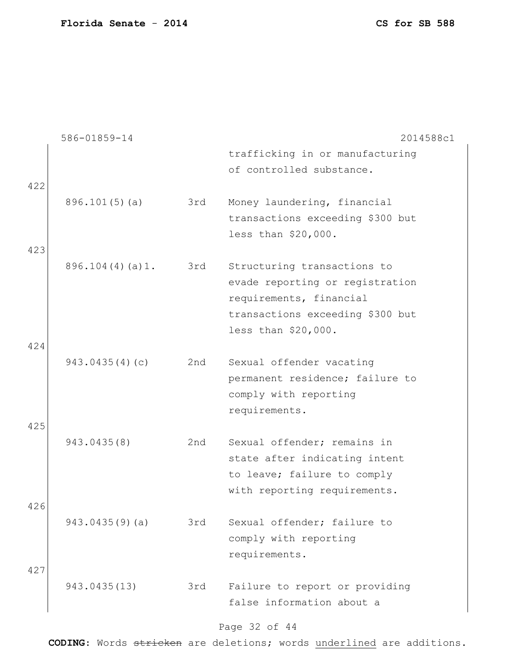|     | 586-01859-14    |     | 2014588c1                        |
|-----|-----------------|-----|----------------------------------|
|     |                 |     | trafficking in or manufacturing  |
|     |                 |     | of controlled substance.         |
| 422 |                 |     |                                  |
|     | 896.101(5)(a)   | 3rd | Money laundering, financial      |
|     |                 |     | transactions exceeding \$300 but |
|     |                 |     | less than \$20,000.              |
| 423 |                 |     |                                  |
|     |                 |     |                                  |
|     | 896.104(4)(a)1. | 3rd | Structuring transactions to      |
|     |                 |     | evade reporting or registration  |
|     |                 |     | requirements, financial          |
|     |                 |     | transactions exceeding \$300 but |
|     |                 |     | less than \$20,000.              |
| 424 |                 |     |                                  |
|     | 943.0435(4)(c)  | 2nd | Sexual offender vacating         |
|     |                 |     | permanent residence; failure to  |
|     |                 |     | comply with reporting            |
|     |                 |     | requirements.                    |
| 425 |                 |     |                                  |
|     | 943.0435(8)     | 2nd | Sexual offender; remains in      |
|     |                 |     | state after indicating intent    |
|     |                 |     | to leave; failure to comply      |
|     |                 |     | with reporting requirements.     |
| 426 |                 |     |                                  |
|     |                 |     | Sexual offender; failure to      |
|     | 943.0435(9)(a)  | 3rd |                                  |
|     |                 |     | comply with reporting            |
|     |                 |     | requirements.                    |
| 427 |                 |     |                                  |
|     | 943.0435(13)    | 3rd | Failure to report or providing   |
|     |                 |     | false information about a        |
|     |                 |     |                                  |

#### Page 32 of 44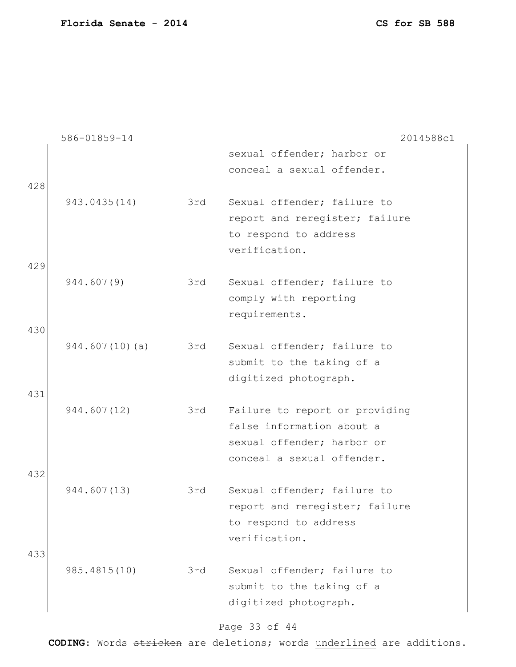|     | 586-01859-14   |     | 2014588c1                      |
|-----|----------------|-----|--------------------------------|
|     |                |     | sexual offender; harbor or     |
|     |                |     | conceal a sexual offender.     |
| 428 |                |     |                                |
|     | 943.0435(14)   | 3rd | Sexual offender; failure to    |
|     |                |     | report and reregister; failure |
|     |                |     | to respond to address          |
|     |                |     | verification.                  |
| 429 |                |     |                                |
|     | 944.607(9)     | 3rd | Sexual offender; failure to    |
|     |                |     | comply with reporting          |
|     |                |     | requirements.                  |
| 430 |                |     |                                |
|     | 944.607(10)(a) | 3rd | Sexual offender; failure to    |
|     |                |     | submit to the taking of a      |
| 431 |                |     | digitized photograph.          |
|     | 944.607(12)    | 3rd | Failure to report or providing |
|     |                |     | false information about a      |
|     |                |     | sexual offender; harbor or     |
|     |                |     | conceal a sexual offender.     |
| 432 |                |     |                                |
|     | 944.607(13)    | 3rd | Sexual offender; failure to    |
|     |                |     | report and reregister; failure |
|     |                |     | to respond to address          |
|     |                |     | verification.                  |
| 433 |                |     |                                |
|     | 985.4815(10)   | 3rd | Sexual offender; failure to    |
|     |                |     | submit to the taking of a      |
|     |                |     | digitized photograph.          |
|     |                |     |                                |

# Page 33 of 44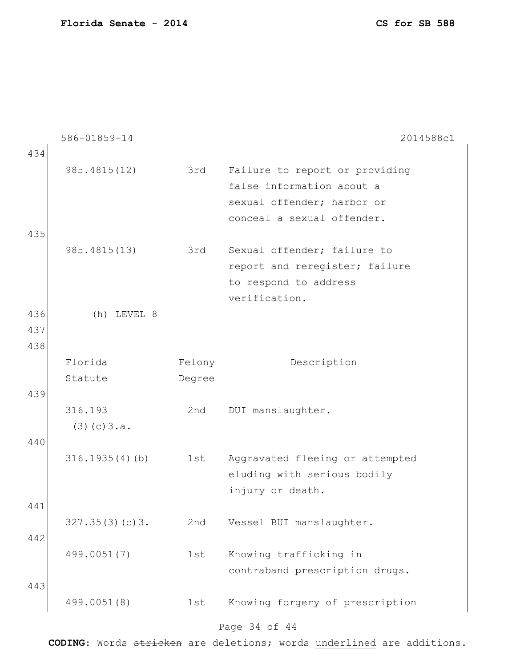|     | 586-01859-14          |        | 2014588c1                                                                                                               |
|-----|-----------------------|--------|-------------------------------------------------------------------------------------------------------------------------|
| 434 |                       |        |                                                                                                                         |
|     | 985.4815(12)          | 3rd    | Failure to report or providing<br>false information about a<br>sexual offender; harbor or<br>conceal a sexual offender. |
| 435 |                       |        |                                                                                                                         |
|     | 985.4815(13)          | 3rd    | Sexual offender; failure to<br>report and reregister; failure<br>to respond to address<br>verification.                 |
| 436 | $(h)$ LEVEL $8$       |        |                                                                                                                         |
| 437 |                       |        |                                                                                                                         |
| 438 |                       |        |                                                                                                                         |
|     | Florida               | Felony | Description                                                                                                             |
| 439 | Statute               | Degree |                                                                                                                         |
| 440 | 316.193<br>(3)(c)3.a. | 2nd    | DUI manslaughter.                                                                                                       |
|     | 316.1935(4)(b)        | 1st    | Aggravated fleeing or attempted<br>eluding with serious bodily<br>injury or death.                                      |
| 441 |                       |        |                                                                                                                         |
|     | 327.35(3)(c)3.        | 2nd    | Vessel BUI manslaughter.                                                                                                |
| 442 |                       |        |                                                                                                                         |
|     | 499.0051(7)           | 1st    | Knowing trafficking in<br>contraband prescription drugs.                                                                |
| 443 |                       |        |                                                                                                                         |
|     | 499.0051(8)           | 1st    | Knowing forgery of prescription                                                                                         |
|     |                       |        | Page 34 of 44                                                                                                           |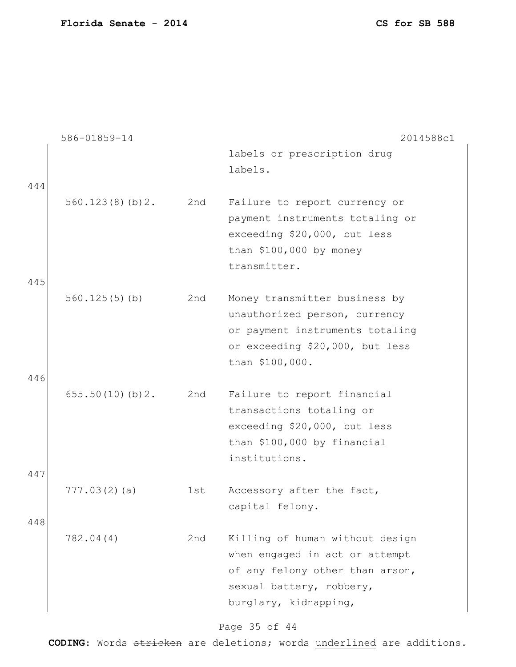|            | 586-01859-14    |     | 2014588c1                                                                                                                                                 |
|------------|-----------------|-----|-----------------------------------------------------------------------------------------------------------------------------------------------------------|
| 444        |                 |     | labels or prescription drug<br>labels.                                                                                                                    |
| 445        | 560.123(8)(b)2. | 2nd | Failure to report currency or<br>payment instruments totaling or<br>exceeding \$20,000, but less<br>than $$100,000$ by money<br>transmitter.              |
| 446        | 560.125(5)(b)   | 2nd | Money transmitter business by<br>unauthorized person, currency<br>or payment instruments totaling<br>or exceeding \$20,000, but less<br>than \$100,000.   |
|            | 655.50(10)(b)2. | 2nd | Failure to report financial<br>transactions totaling or<br>exceeding \$20,000, but less<br>than \$100,000 by financial<br>institutions.                   |
| 447<br>448 | 777.03(2)(a)    | 1st | Accessory after the fact,<br>capital felony.                                                                                                              |
|            | 782.04(4)       | 2nd | Killing of human without design<br>when engaged in act or attempt<br>of any felony other than arson,<br>sexual battery, robbery,<br>burglary, kidnapping, |

Page 35 of 44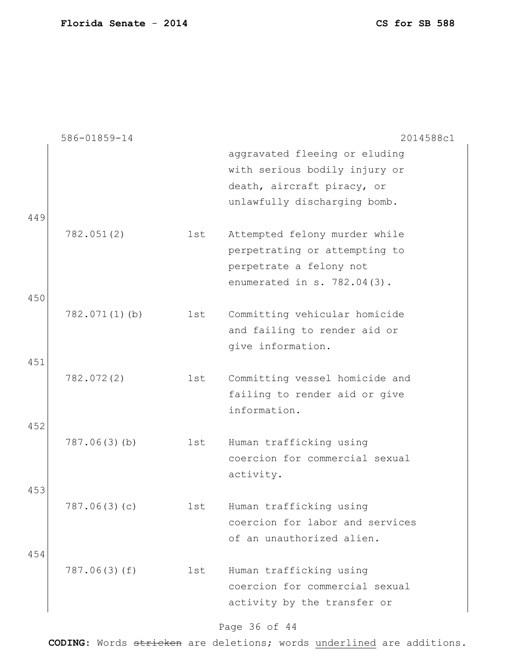|     | 586-01859-14     |     | 2014588c1                                                      |
|-----|------------------|-----|----------------------------------------------------------------|
|     |                  |     | aggravated fleeing or eluding<br>with serious bodily injury or |
|     |                  |     | death, aircraft piracy, or                                     |
|     |                  |     | unlawfully discharging bomb.                                   |
| 449 |                  |     |                                                                |
|     | 782.051(2)       | 1st | Attempted felony murder while                                  |
|     |                  |     | perpetrating or attempting to                                  |
|     |                  |     | perpetrate a felony not                                        |
|     |                  |     | enumerated in s. 782.04(3).                                    |
| 450 |                  |     |                                                                |
|     | $782.071(1)$ (b) | 1st | Committing vehicular homicide                                  |
|     |                  |     | and failing to render aid or                                   |
|     |                  |     | give information.                                              |
| 451 |                  |     |                                                                |
|     | 782.072(2)       | 1st | Committing vessel homicide and                                 |
|     |                  |     | failing to render aid or give                                  |
|     |                  |     | information.                                                   |
| 452 |                  |     |                                                                |
|     | 787.06(3)(b)     | 1st | Human trafficking using                                        |
|     |                  |     | coercion for commercial sexual                                 |
|     |                  |     | activity.                                                      |
| 453 |                  |     |                                                                |
|     | 787.06(3)(c)     | 1st | Human trafficking using                                        |
|     |                  |     | coercion for labor and services                                |
|     |                  |     | of an unauthorized alien.                                      |
| 454 |                  |     |                                                                |
|     | 787.06(3)(f)     | 1st | Human trafficking using                                        |
|     |                  |     | coercion for commercial sexual                                 |
|     |                  |     | activity by the transfer or                                    |
|     |                  |     |                                                                |
|     |                  |     |                                                                |

# Page 36 of 44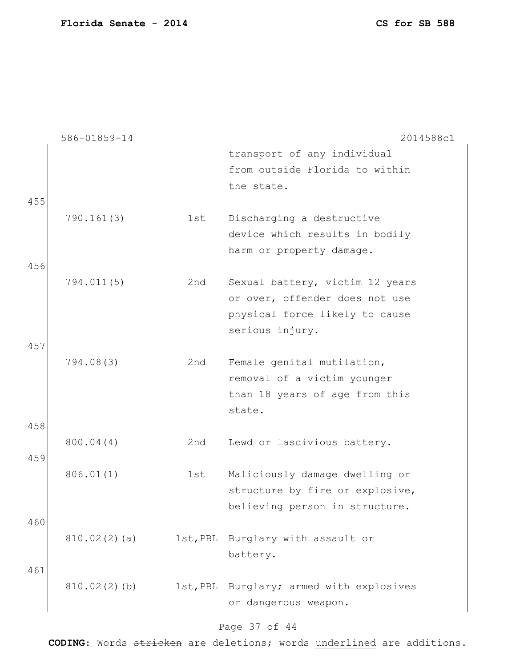|     | 586-01859-14 |     | 2014588c1                                |
|-----|--------------|-----|------------------------------------------|
|     |              |     | transport of any individual              |
|     |              |     | from outside Florida to within           |
|     |              |     | the state.                               |
| 455 |              |     |                                          |
|     | 790.161(3)   | 1st | Discharging a destructive                |
|     |              |     | device which results in bodily           |
|     |              |     | harm or property damage.                 |
| 456 |              |     |                                          |
|     | 794.011(5)   | 2nd | Sexual battery, victim 12 years          |
|     |              |     | or over, offender does not use           |
|     |              |     | physical force likely to cause           |
|     |              |     | serious injury.                          |
| 457 |              |     |                                          |
|     | 794.08(3)    | 2nd | Female genital mutilation,               |
|     |              |     | removal of a victim younger              |
|     |              |     | than 18 years of age from this           |
|     |              |     | state.                                   |
| 458 |              |     |                                          |
|     | 800.04(4)    | 2nd | Lewd or lascivious battery.              |
| 459 |              |     |                                          |
|     | 806.01(1)    | 1st | Maliciously damage dwelling or           |
|     |              |     | structure by fire or explosive,          |
|     |              |     | believing person in structure.           |
| 460 |              |     |                                          |
|     | 810.02(2)(a) |     | 1st, PBL Burglary with assault or        |
|     |              |     | battery.                                 |
| 461 |              |     |                                          |
|     | 810.02(2)(b) |     | 1st, PBL Burglary; armed with explosives |
|     |              |     | or dangerous weapon.                     |
|     |              |     |                                          |

# Page 37 of 44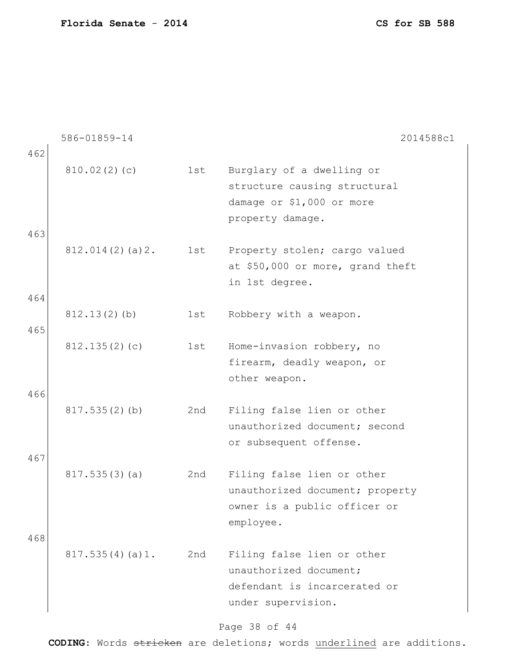|            | 586-01859-14    |     | 2014588c1                                                                                                  |
|------------|-----------------|-----|------------------------------------------------------------------------------------------------------------|
| 462<br>463 | 810.02(2)(c)    | 1st | Burglary of a dwelling or<br>structure causing structural<br>damage or \$1,000 or more<br>property damage. |
| 464        | 812.014(2)(a)2. | 1st | Property stolen; cargo valued<br>at \$50,000 or more, grand theft<br>in 1st degree.                        |
| 465        | 812.13(2)(b)    | 1st | Robbery with a weapon.                                                                                     |
|            | 812.135(2)(c)   | 1st | Home-invasion robbery, no<br>firearm, deadly weapon, or<br>other weapon.                                   |
| 466<br>467 | 817.535(2)(b)   | 2nd | Filing false lien or other<br>unauthorized document; second<br>or subsequent offense.                      |
|            | 817.535(3)(a)   | 2nd | Filing false lien or other<br>unauthorized document; property<br>owner is a public officer or<br>employee. |
| 468        | 817.535(4)(a)1. | 2nd | Filing false lien or other<br>unauthorized document;<br>defendant is incarcerated or<br>under supervision. |

# Page 38 of 44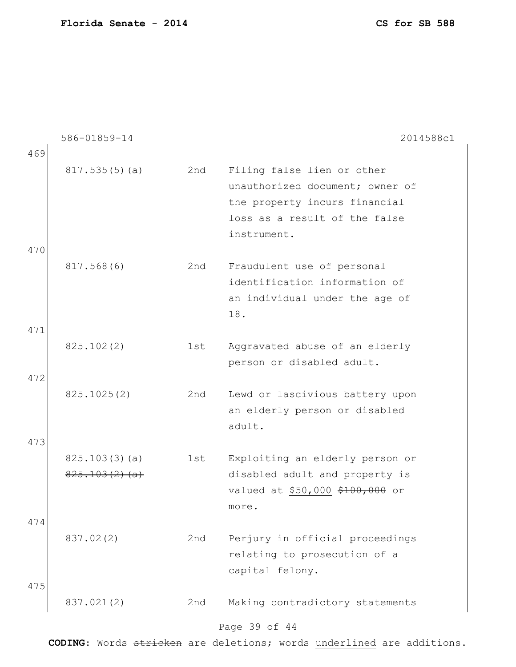|            | 586-01859-14                   |     | 2014588c1                                                                                                                                      |
|------------|--------------------------------|-----|------------------------------------------------------------------------------------------------------------------------------------------------|
| 469        |                                |     |                                                                                                                                                |
| 470        | 817.535(5)(a)                  | 2nd | Filing false lien or other<br>unauthorized document; owner of<br>the property incurs financial<br>loss as a result of the false<br>instrument. |
| 471        | 817.568(6)                     | 2nd | Fraudulent use of personal<br>identification information of<br>an individual under the age of<br>18.                                           |
|            |                                |     |                                                                                                                                                |
|            | 825.102(2)                     | 1st | Aggravated abuse of an elderly<br>person or disabled adult.                                                                                    |
| 472        |                                |     |                                                                                                                                                |
|            | 825.1025(2)                    | 2nd | Lewd or lascivious battery upon<br>an elderly person or disabled<br>adult.                                                                     |
| 473        |                                |     |                                                                                                                                                |
|            | 825.103(3)(a)<br>825.103(2)(a) | 1st | Exploiting an elderly person or<br>disabled adult and property is<br>valued at \$50,000 \$100,000 or<br>more.                                  |
| 474<br>475 | 837.02(2)                      | 2nd | Perjury in official proceedings<br>relating to prosecution of a<br>capital felony.                                                             |
|            | 837.021(2)                     | 2nd | Making contradictory statements                                                                                                                |
|            |                                |     | Page 39 of 44                                                                                                                                  |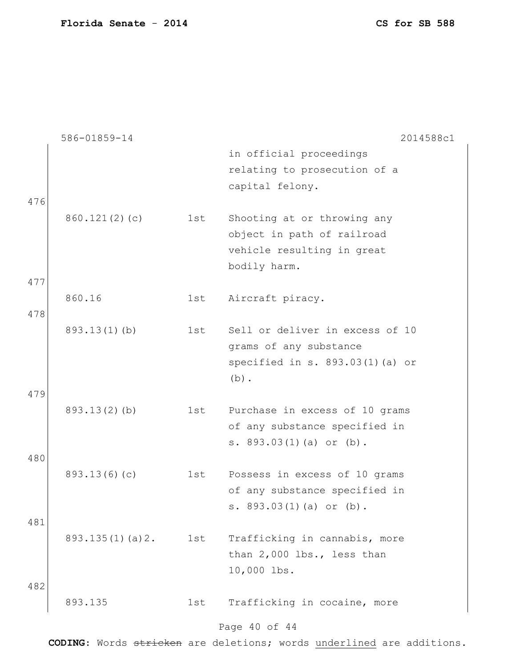|            | 586-01859-14    |     | 2014588c1                                                                                                  |
|------------|-----------------|-----|------------------------------------------------------------------------------------------------------------|
| 476        |                 |     | in official proceedings<br>relating to prosecution of a<br>capital felony.                                 |
| 477        | 860.121(2)(c)   | 1st | Shooting at or throwing any<br>object in path of railroad<br>vehicle resulting in great<br>bodily harm.    |
| 478        | 860.16          | 1st | Aircraft piracy.                                                                                           |
|            | 893.13(1)(b)    | 1st | Sell or deliver in excess of 10<br>grams of any substance<br>specified in $s. 893.03(1)$ (a) or<br>$(b)$ . |
| 479<br>480 | 893.13(2)(b)    | 1st | Purchase in excess of 10 grams<br>of any substance specified in<br>s. 893.03(1)(a) or (b).                 |
| 481        | 893.13(6)(c)    | 1st | Possess in excess of 10 grams<br>of any substance specified in<br>s. 893.03(1)(a) or (b).                  |
| 482        | 893.135(1)(a)2. | 1st | Trafficking in cannabis, more<br>than 2,000 lbs., less than<br>10,000 lbs.                                 |
|            | 893.135         | 1st | Trafficking in cocaine, more<br>Page 40 of 44                                                              |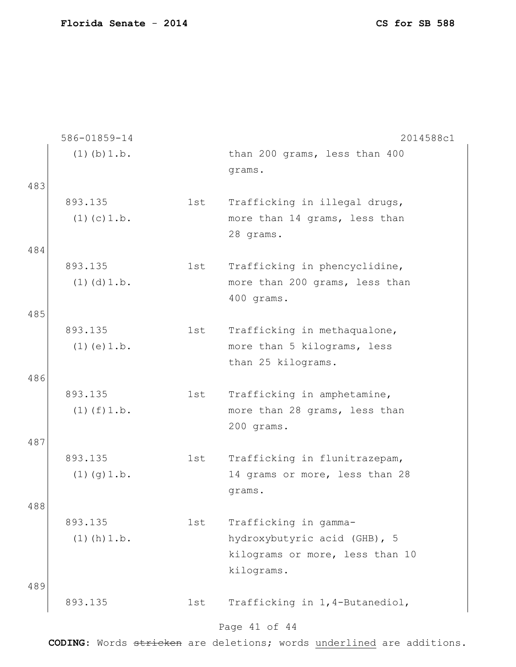|     | 586-01859-14        |     | 2014588c1                       |
|-----|---------------------|-----|---------------------------------|
|     | $(1)$ (b) $1.b.$    |     | than 200 grams, less than 400   |
|     |                     |     | grams.                          |
| 483 |                     |     |                                 |
|     | 893.135             | 1st | Trafficking in illegal drugs,   |
|     | $(1)$ (c) $1.b.$    |     | more than 14 grams, less than   |
|     |                     |     | 28 grams.                       |
| 484 |                     |     |                                 |
|     | 893.135             | 1st | Trafficking in phencyclidine,   |
|     | $(1)$ $(d)$ $1.b.$  |     | more than 200 grams, less than  |
|     |                     |     | 400 grams.                      |
| 485 |                     |     |                                 |
|     | 893.135             | 1st | Trafficking in methaqualone,    |
|     | $(1)$ (e) $1.b.$    |     | more than 5 kilograms, less     |
|     |                     |     | than 25 kilograms.              |
| 486 |                     |     |                                 |
|     | 893.135             | 1st | Trafficking in amphetamine,     |
|     | $(1)$ $(f)$ $1.b.$  |     | more than 28 grams, less than   |
|     |                     |     | 200 grams.                      |
| 487 |                     |     |                                 |
|     | 893.135             | 1st | Trafficking in flunitrazepam,   |
|     | $(1)$ $(g)$ $1.b$ . |     | 14 grams or more, less than 28  |
|     |                     |     | grams.                          |
| 488 |                     |     |                                 |
|     | 893.135             | 1st | Trafficking in gamma-           |
|     | $(1)$ (h) $1.b.$    |     | hydroxybutyric acid (GHB), 5    |
|     |                     |     | kilograms or more, less than 10 |
|     |                     |     | kilograms.                      |
| 489 |                     |     |                                 |
|     | 893.135             | 1st | Trafficking in 1,4-Butanediol,  |
|     |                     |     |                                 |
|     |                     |     | Page 41 of 44                   |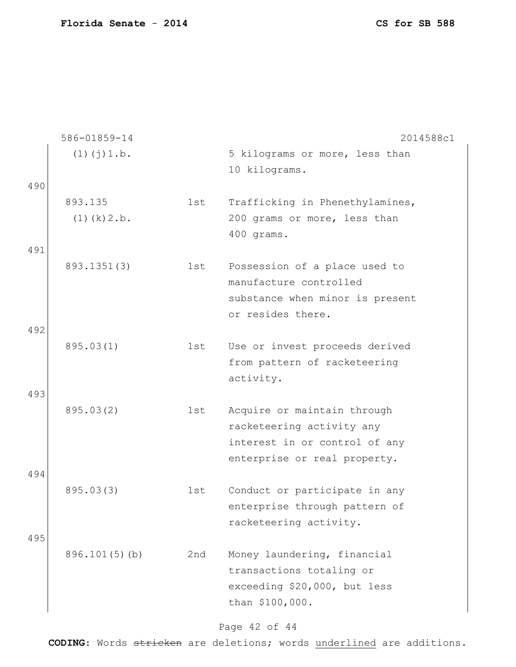|     | 586-01859-14        |     | 2014588c1                                                                                                                 |
|-----|---------------------|-----|---------------------------------------------------------------------------------------------------------------------------|
|     | $(1)$ $(j)$ $1.b.$  |     | 5 kilograms or more, less than<br>10 kilograms.                                                                           |
| 490 |                     |     |                                                                                                                           |
|     | 893.135             | 1st | Trafficking in Phenethylamines,                                                                                           |
|     | $(1)$ $(k)$ $2.b$ . |     | 200 grams or more, less than<br>400 grams.                                                                                |
| 491 |                     |     |                                                                                                                           |
|     | 893.1351(3)         | 1st | Possession of a place used to<br>manufacture controlled<br>substance when minor is present<br>or resides there.           |
| 492 |                     |     |                                                                                                                           |
|     | 895.03(1)           | 1st | Use or invest proceeds derived<br>from pattern of racketeering<br>activity.                                               |
| 493 |                     |     |                                                                                                                           |
|     | 895.03(2)           | 1st | Acquire or maintain through<br>racketeering activity any<br>interest in or control of any<br>enterprise or real property. |
| 494 |                     |     |                                                                                                                           |
|     | 895.03(3)           | 1st | Conduct or participate in any<br>enterprise through pattern of<br>racketeering activity.                                  |
| 495 | 896.101(5)(b)       | 2nd | Money laundering, financial<br>transactions totaling or<br>exceeding \$20,000, but less<br>than \$100,000.                |

# Page 42 of 44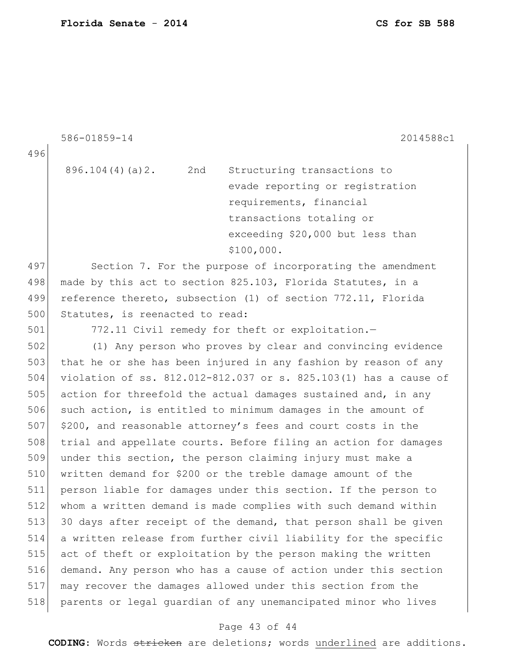586-01859-14 2014588c1

496

896.104(4)(a)2. 2nd Structuring transactions to evade reporting or registration requirements, financial transactions totaling or exceeding \$20,000 but less than \$100,000.

497 Section 7. For the purpose of incorporating the amendment 498 made by this act to section 825.103, Florida Statutes, in a 499 reference thereto, subsection (1) of section 772.11, Florida 500 Statutes, is reenacted to read:

501 772.11 Civil remedy for theft or exploitation.-

502 (1) Any person who proves by clear and convincing evidence 503 that he or she has been injured in any fashion by reason of any 504 violation of ss. 812.012-812.037 or s. 825.103(1) has a cause of 505 action for threefold the actual damages sustained and, in any 506 such action, is entitled to minimum damages in the amount of  $507$  \$200, and reasonable attorney's fees and court costs in the 508 trial and appellate courts. Before filing an action for damages 509 under this section, the person claiming injury must make a 510 written demand for \$200 or the treble damage amount of the 511 person liable for damages under this section. If the person to 512 whom a written demand is made complies with such demand within 513 30 days after receipt of the demand, that person shall be given 514 a written release from further civil liability for the specific 515 act of theft or exploitation by the person making the written 516 demand. Any person who has a cause of action under this section 517 may recover the damages allowed under this section from the 518 parents or legal guardian of any unemancipated minor who lives

#### Page 43 of 44